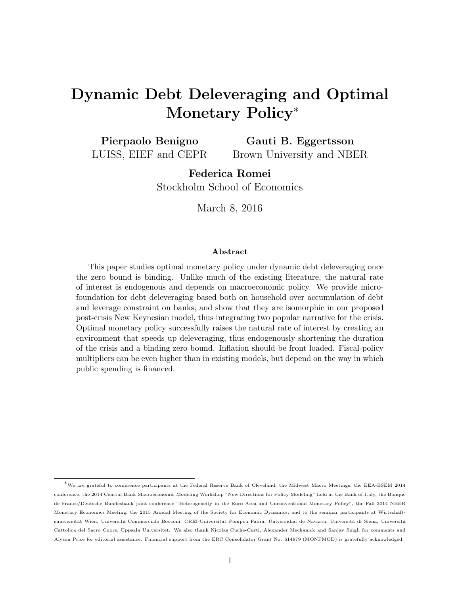# Dynamic Debt Deleveraging and Optimal Monetary Policy<sup>∗</sup>

Pierpaolo Benigno LUISS, EIEF and CEPR Gauti B. Eggertsson Brown University and NBER

> Federica Romei Stockholm School of Economics

> > March 8, 2016

#### Abstract

This paper studies optimal monetary policy under dynamic debt deleveraging once the zero bound is binding. Unlike much of the existing literature, the natural rate of interest is endogenous and depends on macroeconomic policy. We provide microfoundation for debt deleveraging based both on household over accumulation of debt and leverage constraint on banks; and show that they are isomorphic in our proposed post-crisis New Keynesian model, thus integrating two popular narrative for the crisis. Optimal monetary policy successfully raises the natural rate of interest by creating an environment that speeds up deleveraging, thus endogenously shortening the duration of the crisis and a binding zero bound. Inflation should be front loaded. Fiscal-policy multipliers can be even higher than in existing models, but depend on the way in which public spending is financed.

<sup>∗</sup>We are grateful to conference participants at the Federal Reserve Bank of Cleveland, the Midwest Macro Meetings, the EEA-ESEM 2014 conference, the 2014 Central Bank Macroeconomic Modeling Workshop "New Directions for Policy Modeling" held at the Bank of Italy, the Banque de France/Deutsche Bundesbank joint conference "Heterogeneity in the Euro Area and Unconventional Monetary Policy", the Fall 2014 NBER Monetary Economics Meeting, the 2015 Annual Meeting of the Society for Economic Dynamics, and to the seminar participants at Wirtschaftsuniversität Wien, Università Commerciale Bocconi, CREI-Universitat Pompeu Fabra, Universidad de Navarra, Università di Siena, Università Cattolica del Sacro Cuore, Uppsala Universitet. We also thank Nicolas Cuche-Curti, Alexander Mechanick and Sanjay Singh for comments and Alyson Price for editorial assistance. Financial support from the ERC Consolidator Grant No. 614879 (MONPMOD) is gratefully acknowledged.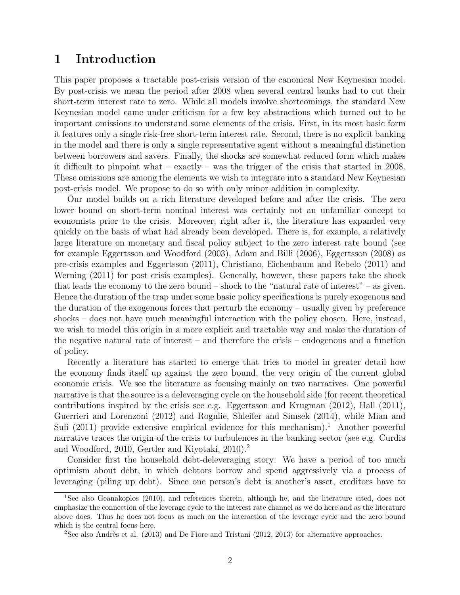### 1 Introduction

This paper proposes a tractable post-crisis version of the canonical New Keynesian model. By post-crisis we mean the period after 2008 when several central banks had to cut their short-term interest rate to zero. While all models involve shortcomings, the standard New Keynesian model came under criticism for a few key abstractions which turned out to be important omissions to understand some elements of the crisis. First, in its most basic form it features only a single risk-free short-term interest rate. Second, there is no explicit banking in the model and there is only a single representative agent without a meaningful distinction between borrowers and savers. Finally, the shocks are somewhat reduced form which makes it difficult to pinpoint what – exactly – was the trigger of the crisis that started in 2008. These omissions are among the elements we wish to integrate into a standard New Keynesian post-crisis model. We propose to do so with only minor addition in complexity.

Our model builds on a rich literature developed before and after the crisis. The zero lower bound on short-term nominal interest was certainly not an unfamiliar concept to economists prior to the crisis. Moreover, right after it, the literature has expanded very quickly on the basis of what had already been developed. There is, for example, a relatively large literature on monetary and fiscal policy subject to the zero interest rate bound (see for example Eggertsson and Woodford (2003), Adam and Billi (2006), Eggertsson (2008) as pre-crisis examples and Eggertsson (2011), Christiano, Eichenbaum and Rebelo (2011) and Werning (2011) for post crisis examples). Generally, however, these papers take the shock that leads the economy to the zero bound – shock to the "natural rate of interest" – as given. Hence the duration of the trap under some basic policy specifications is purely exogenous and the duration of the exogenous forces that perturb the economy – usually given by preference shocks – does not have much meaningful interaction with the policy chosen. Here, instead, we wish to model this origin in a more explicit and tractable way and make the duration of the negative natural rate of interest – and therefore the crisis – endogenous and a function of policy.

Recently a literature has started to emerge that tries to model in greater detail how the economy finds itself up against the zero bound, the very origin of the current global economic crisis. We see the literature as focusing mainly on two narratives. One powerful narrative is that the source is a deleveraging cycle on the household side (for recent theoretical contributions inspired by the crisis see e.g. Eggertsson and Krugman  $(2012)$ , Hall  $(2011)$ , Guerrieri and Lorenzoni (2012) and Rognlie, Shleifer and Simsek (2014), while Mian and Sufi (2011) provide extensive empirical evidence for this mechanism).<sup>1</sup> Another powerful narrative traces the origin of the crisis to turbulences in the banking sector (see e.g. Curdia and Woodford, 2010, Gertler and Kiyotaki, 2010).<sup>2</sup>

Consider first the household debt-deleveraging story: We have a period of too much optimism about debt, in which debtors borrow and spend aggressively via a process of leveraging (piling up debt). Since one person's debt is another's asset, creditors have to

<sup>1</sup>See also Geanakoplos (2010), and references therein, although he, and the literature cited, does not emphasize the connection of the leverage cycle to the interest rate channel as we do here and as the literature above does. Thus he does not focus as much on the interaction of the leverage cycle and the zero bound which is the central focus here.

<sup>&</sup>lt;sup>2</sup>See also Andrès et al.  $(2013)$  and De Fiore and Tristani  $(2012, 2013)$  for alternative approaches.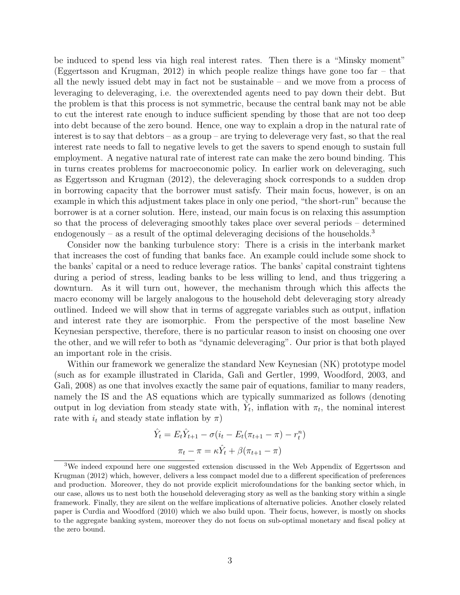be induced to spend less via high real interest rates. Then there is a "Minsky moment" (Eggertsson and Krugman, 2012) in which people realize things have gone too far – that all the newly issued debt may in fact not be sustainable – and we move from a process of leveraging to deleveraging, i.e. the overextended agents need to pay down their debt. But the problem is that this process is not symmetric, because the central bank may not be able to cut the interest rate enough to induce sufficient spending by those that are not too deep into debt because of the zero bound. Hence, one way to explain a drop in the natural rate of interest is to say that debtors – as a group – are trying to deleverage very fast, so that the real interest rate needs to fall to negative levels to get the savers to spend enough to sustain full employment. A negative natural rate of interest rate can make the zero bound binding. This in turns creates problems for macroeconomic policy. In earlier work on deleveraging, such as Eggertsson and Krugman (2012), the deleveraging shock corresponds to a sudden drop in borrowing capacity that the borrower must satisfy. Their main focus, however, is on an example in which this adjustment takes place in only one period, "the short-run" because the borrower is at a corner solution. Here, instead, our main focus is on relaxing this assumption so that the process of deleveraging smoothly takes place over several periods – determined endogenously – as a result of the optimal deleveraging decisions of the households.<sup>3</sup>

Consider now the banking turbulence story: There is a crisis in the interbank market that increases the cost of funding that banks face. An example could include some shock to the banks' capital or a need to reduce leverage ratios. The banks' capital constraint tightens during a period of stress, leading banks to be less willing to lend, and thus triggering a downturn. As it will turn out, however, the mechanism through which this affects the macro economy will be largely analogous to the household debt deleveraging story already outlined. Indeed we will show that in terms of aggregate variables such as output, inflation and interest rate they are isomorphic. From the perspective of the most baseline New Keynesian perspective, therefore, there is no particular reason to insist on choosing one over the other, and we will refer to both as "dynamic deleveraging". Our prior is that both played an important role in the crisis.

Within our framework we generalize the standard New Keynesian (NK) prototype model (such as for example illustrated in Clarida, Gal`ı and Gertler, 1999, Woodford, 2003, and Galì, 2008) as one that involves exactly the same pair of equations, familiar to many readers, namely the IS and the AS equations which are typically summarized as follows (denoting output in log deviation from steady state with,  $\hat{Y}_t$ , inflation with  $\pi_t$ , the nominal interest rate with  $i_t$  and steady state inflation by  $\pi$ )

$$
\hat{Y}_t = E_t \hat{Y}_{t+1} - \sigma(i_t - E_t(\pi_{t+1} - \pi) - r_t^n)
$$

$$
\pi_t - \pi = \kappa \hat{Y}_t + \beta(\pi_{t+1} - \pi)
$$

<sup>3</sup>We indeed expound here one suggested extension discussed in the Web Appendix of Eggertsson and Krugman (2012) which, however, delivers a less compact model due to a different specification of preferences and production. Moreover, they do not provide explicit microfoundations for the banking sector which, in our case, allows us to nest both the household deleveraging story as well as the banking story within a single framework. Finally, they are silent on the welfare implications of alternative policies. Another closely related paper is Curdia and Woodford (2010) which we also build upon. Their focus, however, is mostly on shocks to the aggregate banking system, moreover they do not focus on sub-optimal monetary and fiscal policy at the zero bound.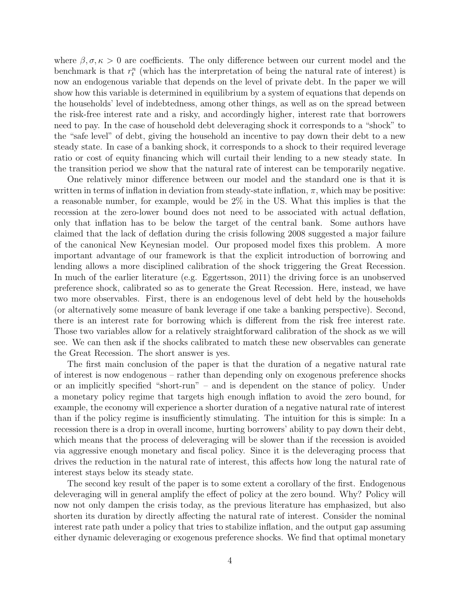where  $\beta, \sigma, \kappa > 0$  are coefficients. The only difference between our current model and the benchmark is that  $r_t^n$  (which has the interpretation of being the natural rate of interest) is now an endogenous variable that depends on the level of private debt. In the paper we will show how this variable is determined in equilibrium by a system of equations that depends on the households' level of indebtedness, among other things, as well as on the spread between the risk-free interest rate and a risky, and accordingly higher, interest rate that borrowers need to pay. In the case of household debt deleveraging shock it corresponds to a "shock" to the "safe level" of debt, giving the household an incentive to pay down their debt to a new steady state. In case of a banking shock, it corresponds to a shock to their required leverage ratio or cost of equity financing which will curtail their lending to a new steady state. In the transition period we show that the natural rate of interest can be temporarily negative.

One relatively minor difference between our model and the standard one is that it is written in terms of inflation in deviation from steady-state inflation,  $\pi$ , which may be positive: a reasonable number, for example, would be 2% in the US. What this implies is that the recession at the zero-lower bound does not need to be associated with actual deflation, only that inflation has to be below the target of the central bank. Some authors have claimed that the lack of deflation during the crisis following 2008 suggested a major failure of the canonical New Keynesian model. Our proposed model fixes this problem. A more important advantage of our framework is that the explicit introduction of borrowing and lending allows a more disciplined calibration of the shock triggering the Great Recession. In much of the earlier literature (e.g. Eggertsson, 2011) the driving force is an unobserved preference shock, calibrated so as to generate the Great Recession. Here, instead, we have two more observables. First, there is an endogenous level of debt held by the households (or alternatively some measure of bank leverage if one take a banking perspective). Second, there is an interest rate for borrowing which is different from the risk free interest rate. Those two variables allow for a relatively straightforward calibration of the shock as we will see. We can then ask if the shocks calibrated to match these new observables can generate the Great Recession. The short answer is yes.

The first main conclusion of the paper is that the duration of a negative natural rate of interest is now endogenous – rather than depending only on exogenous preference shocks or an implicitly specified "short-run" – and is dependent on the stance of policy. Under a monetary policy regime that targets high enough inflation to avoid the zero bound, for example, the economy will experience a shorter duration of a negative natural rate of interest than if the policy regime is insufficiently stimulating. The intuition for this is simple: In a recession there is a drop in overall income, hurting borrowers' ability to pay down their debt, which means that the process of deleveraging will be slower than if the recession is avoided via aggressive enough monetary and fiscal policy. Since it is the deleveraging process that drives the reduction in the natural rate of interest, this affects how long the natural rate of interest stays below its steady state.

The second key result of the paper is to some extent a corollary of the first. Endogenous deleveraging will in general amplify the effect of policy at the zero bound. Why? Policy will now not only dampen the crisis today, as the previous literature has emphasized, but also shorten its duration by directly affecting the natural rate of interest. Consider the nominal interest rate path under a policy that tries to stabilize inflation, and the output gap assuming either dynamic deleveraging or exogenous preference shocks. We find that optimal monetary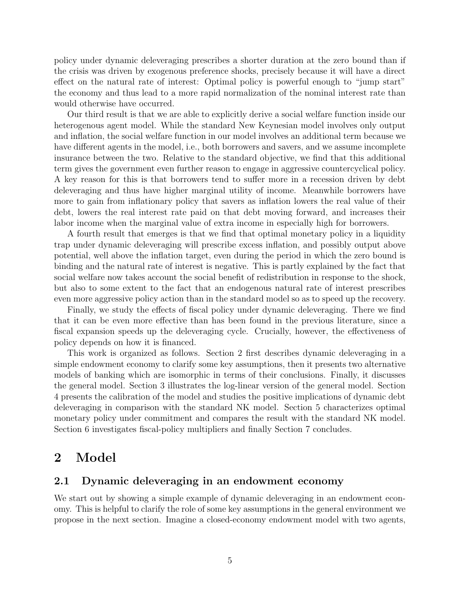policy under dynamic deleveraging prescribes a shorter duration at the zero bound than if the crisis was driven by exogenous preference shocks, precisely because it will have a direct effect on the natural rate of interest: Optimal policy is powerful enough to "jump start" the economy and thus lead to a more rapid normalization of the nominal interest rate than would otherwise have occurred.

Our third result is that we are able to explicitly derive a social welfare function inside our heterogenous agent model. While the standard New Keynesian model involves only output and inflation, the social welfare function in our model involves an additional term because we have different agents in the model, i.e., both borrowers and savers, and we assume incomplete insurance between the two. Relative to the standard objective, we find that this additional term gives the government even further reason to engage in aggressive countercyclical policy. A key reason for this is that borrowers tend to suffer more in a recession driven by debt deleveraging and thus have higher marginal utility of income. Meanwhile borrowers have more to gain from inflationary policy that savers as inflation lowers the real value of their debt, lowers the real interest rate paid on that debt moving forward, and increases their labor income when the marginal value of extra income in especially high for borrowers.

A fourth result that emerges is that we find that optimal monetary policy in a liquidity trap under dynamic deleveraging will prescribe excess inflation, and possibly output above potential, well above the inflation target, even during the period in which the zero bound is binding and the natural rate of interest is negative. This is partly explained by the fact that social welfare now takes account the social benefit of redistribution in response to the shock, but also to some extent to the fact that an endogenous natural rate of interest prescribes even more aggressive policy action than in the standard model so as to speed up the recovery.

Finally, we study the effects of fiscal policy under dynamic deleveraging. There we find that it can be even more effective than has been found in the previous literature, since a fiscal expansion speeds up the deleveraging cycle. Crucially, however, the effectiveness of policy depends on how it is financed.

This work is organized as follows. Section 2 first describes dynamic deleveraging in a simple endowment economy to clarify some key assumptions, then it presents two alternative models of banking which are isomorphic in terms of their conclusions. Finally, it discusses the general model. Section 3 illustrates the log-linear version of the general model. Section 4 presents the calibration of the model and studies the positive implications of dynamic debt deleveraging in comparison with the standard NK model. Section 5 characterizes optimal monetary policy under commitment and compares the result with the standard NK model. Section 6 investigates fiscal-policy multipliers and finally Section 7 concludes.

### 2 Model

#### 2.1 Dynamic deleveraging in an endowment economy

We start out by showing a simple example of dynamic deleveraging in an endowment economy. This is helpful to clarify the role of some key assumptions in the general environment we propose in the next section. Imagine a closed-economy endowment model with two agents,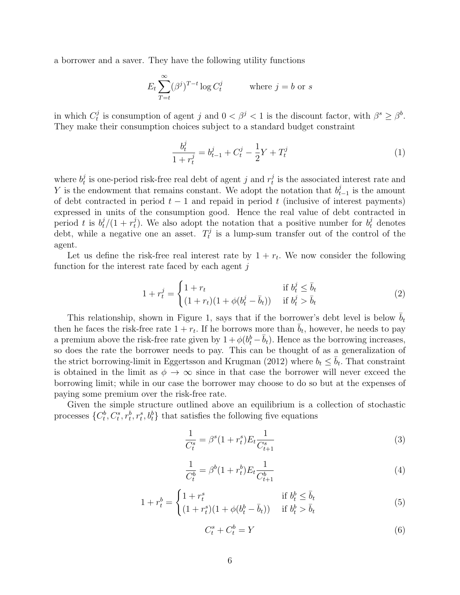a borrower and a saver. They have the following utility functions

$$
E_t \sum_{T=t}^{\infty} (\beta^j)^{T-t} \log C_t^j \qquad \text{where } j = b \text{ or } s
$$

in which  $C_t^j$  $t_i^j$  is consumption of agent j and  $0 < \beta^j < 1$  is the discount factor, with  $\beta^s \geq \beta^b$ . They make their consumption choices subject to a standard budget constraint

$$
\frac{b_t^j}{1+r_t^j} = b_{t-1}^j + C_t^j - \frac{1}{2}Y + T_t^j \tag{1}
$$

where  $b_t^j$  $t \overline{t}$  is one-period risk-free real debt of agent  $j$  and  $r_t^j$  $t<sub>t</sub>$  is the associated interest rate and Y is the endowment that remains constant. We adopt the notation that  $b_t^j$  $_{t-1}^{j}$  is the amount of debt contracted in period  $t - 1$  and repaid in period t (inclusive of interest payments) expressed in units of the consumption good. Hence the real value of debt contracted in period t is  $b_t^j/(1 + r_t^j)$ <sup>j</sup>). We also adopt the notation that a positive number for  $b_t^j$  denotes debt, while a negative one an asset.  $T_t^j$  $t<sub>t</sub>$  is a lump-sum transfer out of the control of the agent.

Let us define the risk-free real interest rate by  $1 + r_t$ . We now consider the following function for the interest rate faced by each agent  $j$ 

$$
1 + r_t^j = \begin{cases} 1 + r_t & \text{if } b_t^j \le \bar{b}_t \\ (1 + r_t)(1 + \phi(b_t^j - \bar{b}_t)) & \text{if } b_t^j > \bar{b}_t \end{cases}
$$
(2)

This relationship, shown in Figure 1, says that if the borrower's debt level is below  $\bar{b}_t$ then he faces the risk-free rate  $1 + r_t$ . If he borrows more than  $\bar{b}_t$ , however, he needs to pay a premium above the risk-free rate given by  $1 + \phi(b_t^b - \bar{b}_t)$ . Hence as the borrowing increases, so does the rate the borrower needs to pay. This can be thought of as a generalization of the strict borrowing-limit in Eggertsson and Krugman (2012) where  $b_t \leq \overline{b}_t$ . That constraint is obtained in the limit as  $\phi \to \infty$  since in that case the borrower will never exceed the borrowing limit; while in our case the borrower may choose to do so but at the expenses of paying some premium over the risk-free rate.

Given the simple structure outlined above an equilibrium is a collection of stochastic processes  $\{C_t^b, C_t^s, r_t^b, r_t^s, b_t^b\}$  that satisfies the following five equations

$$
\frac{1}{C_t^s} = \beta^s (1 + r_t^s) E_t \frac{1}{C_{t+1}^s} \tag{3}
$$

$$
\frac{1}{C_t^b} = \beta^b (1 + r_t^b) E_t \frac{1}{C_{t+1}^b} \tag{4}
$$

$$
1 + r_t^b = \begin{cases} 1 + r_t^s & \text{if } b_t^b \le \bar{b}_t \\ (1 + r_t^s)(1 + \phi(b_t^b - \bar{b}_t)) & \text{if } b_t^b > \bar{b}_t \end{cases}
$$
(5)

 $C_t^s + C_t^b = Y$  (6)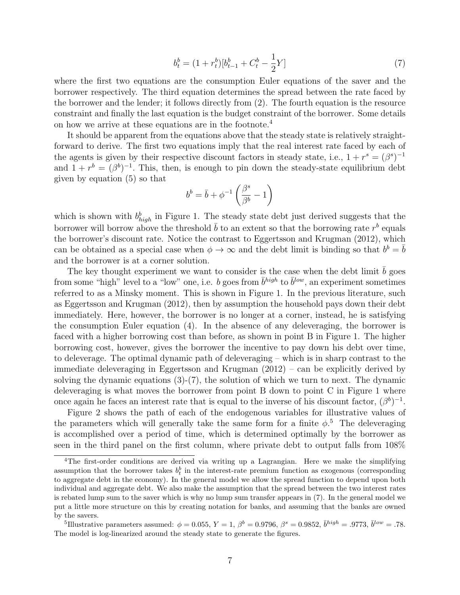$$
b_t^b = (1 + r_t^b)[b_{t-1}^b + C_t^b - \frac{1}{2}Y] \tag{7}
$$

where the first two equations are the consumption Euler equations of the saver and the borrower respectively. The third equation determines the spread between the rate faced by the borrower and the lender; it follows directly from (2). The fourth equation is the resource constraint and finally the last equation is the budget constraint of the borrower. Some details on how we arrive at these equations are in the footnote.<sup>4</sup>

It should be apparent from the equations above that the steady state is relatively straightforward to derive. The first two equations imply that the real interest rate faced by each of the agents is given by their respective discount factors in steady state, i.e.,  $1 + r<sup>s</sup> = (\beta<sup>s</sup>)^{-1}$ and  $1 + r^b = (\beta^b)^{-1}$ . This, then, is enough to pin down the steady-state equilibrium debt given by equation (5) so that

$$
b^b = \bar{b} + \phi^{-1}\left(\frac{\beta^s}{\beta^b} - 1\right)
$$

which is shown with  $b_{high}^b$  in Figure 1. The steady state debt just derived suggests that the borrower will borrow above the threshold  $\bar{b}$  to an extent so that the borrowing rate  $r^b$  equals the borrower's discount rate. Notice the contrast to Eggertsson and Krugman (2012), which can be obtained as a special case when  $\phi \to \infty$  and the debt limit is binding so that  $b^b = \overline{b}$ and the borrower is at a corner solution.

The key thought experiment we want to consider is the case when the debt limit  $\bar{b}$  goes from some "high" level to a "low" one, i.e. b goes from  $\bar{b}^{high}$  to  $\bar{b}^{low}$ , an experiment sometimes referred to as a Minsky moment. This is shown in Figure 1. In the previous literature, such as Eggertsson and Krugman (2012), then by assumption the household pays down their debt immediately. Here, however, the borrower is no longer at a corner, instead, he is satisfying the consumption Euler equation (4). In the absence of any deleveraging, the borrower is faced with a higher borrowing cost than before, as shown in point B in Figure 1. The higher borrowing cost, however, gives the borrower the incentive to pay down his debt over time, to deleverage. The optimal dynamic path of deleveraging – which is in sharp contrast to the immediate deleveraging in Eggertsson and Krugman (2012) – can be explicitly derived by solving the dynamic equations  $(3)-(7)$ , the solution of which we turn to next. The dynamic deleveraging is what moves the borrower from point B down to point C in Figure 1 where once again he faces an interest rate that is equal to the inverse of his discount factor,  $(\beta^b)^{-1}$ .

Figure 2 shows the path of each of the endogenous variables for illustrative values of the parameters which will generally take the same form for a finite  $\phi$ <sup>5</sup>. The deleveraging is accomplished over a period of time, which is determined optimally by the borrower as seen in the third panel on the first column, where private debt to output falls from 108%

<sup>4</sup>The first-order conditions are derived via writing up a Lagrangian. Here we make the simplifying assumption that the borrower takes  $b_t^b$  in the interest-rate premium function as exogenous (corresponding to aggregate debt in the economy). In the general model we allow the spread function to depend upon both individual and aggregate debt. We also make the assumption that the spread between the two interest rates is rebated lump sum to the saver which is why no lump sum transfer appears in (7). In the general model we put a little more structure on this by creating notation for banks, and assuming that the banks are owned by the savers.

<sup>&</sup>lt;sup>5</sup>Illustrative parameters assumed:  $\phi = 0.055, Y = 1, \beta^b = 0.9796, \beta^s = 0.9852, \bar{b}^{high} = .9773, \bar{b}^{low} = .78.$ The model is log-linearized around the steady state to generate the figures.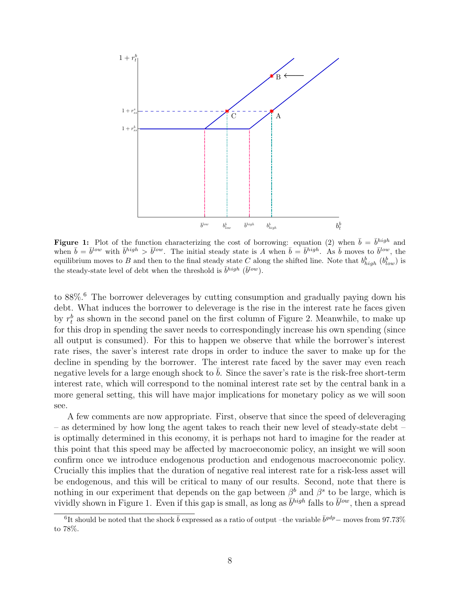

**Figure 1:** Plot of the function characterizing the cost of borrowing: equation (2) when  $\bar{b} = \bar{b}^{high}$  and when  $\bar{b} = \bar{b}^{low}$  with  $\bar{b}^{high} > \bar{b}^{low}$ . The initial steady state is A when  $\bar{b} = \bar{b}^{high}$ . As  $\bar{b}$  moves to  $\bar{b}^{low}$ , the equilibrium moves to B and then to the final steady state C along the shifted line. Note that  $b_{high}^b$   $(b_{low}^b)$  is the steady-state level of debt when the threshold is  $\bar{b}^{high}$  ( $\bar{b}^{low}$ ).

to 88%.<sup>6</sup> The borrower deleverages by cutting consumption and gradually paying down his debt. What induces the borrower to deleverage is the rise in the interest rate he faces given by  $r_t^b$  as shown in the second panel on the first column of Figure 2. Meanwhile, to make up for this drop in spending the saver needs to correspondingly increase his own spending (since all output is consumed). For this to happen we observe that while the borrower's interest rate rises, the saver's interest rate drops in order to induce the saver to make up for the decline in spending by the borrower. The interest rate faced by the saver may even reach negative levels for a large enough shock to  $b$ . Since the saver's rate is the risk-free short-term interest rate, which will correspond to the nominal interest rate set by the central bank in a more general setting, this will have major implications for monetary policy as we will soon see.

A few comments are now appropriate. First, observe that since the speed of deleveraging – as determined by how long the agent takes to reach their new level of steady-state debt – is optimally determined in this economy, it is perhaps not hard to imagine for the reader at this point that this speed may be affected by macroeconomic policy, an insight we will soon confirm once we introduce endogenous production and endogenous macroeconomic policy. Crucially this implies that the duration of negative real interest rate for a risk-less asset will be endogenous, and this will be critical to many of our results. Second, note that there is nothing in our experiment that depends on the gap between  $\beta^b$  and  $\beta^s$  to be large, which is vividly shown in Figure 1. Even if this gap is small, as long as  $\overline{b}^{high}$  falls to  $\overline{b}^{low}$ , then a spread

<sup>&</sup>lt;sup>6</sup>It should be noted that the shock  $\bar{b}$  expressed as a ratio of output –the variable  $\bar{b}^{gdp}$ – moves from 97.73% to 78%.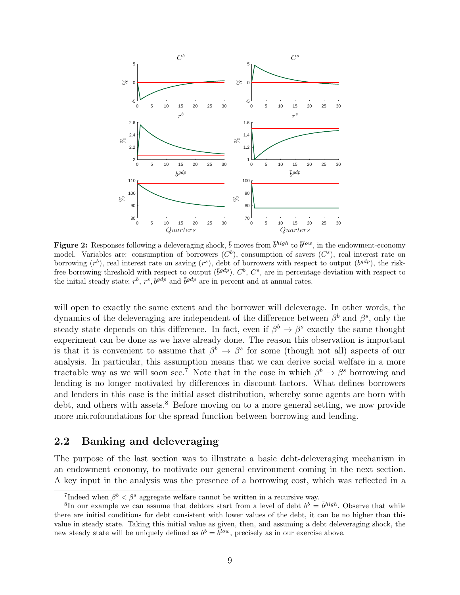

**Figure 2:** Responses following a deleveraging shock,  $\bar{b}$  moves from  $\bar{b}^{high}$  to  $\bar{b}^{low}$ , in the endowment-economy model. Variables are: consumption of borrowers  $(C^b)$ , consumption of savers  $(C^s)$ , real interest rate on borrowing  $(r^b)$ , real interest rate on saving  $(r^s)$ , debt of borrowers with respect to output  $(b^{gdp})$ , the riskfree borrowing threshold with respect to output  $(\bar{b}^{gdp})$ .  $C^b$ ,  $C^s$ , are in percentage deviation with respect to the initial steady state;  $r^b$ ,  $r^s$ ,  $b^{gdp}$  and  $\bar{b}^{gdp}$  are in percent and at annual rates.

will open to exactly the same extent and the borrower will deleverage. In other words, the dynamics of the deleveraging are independent of the difference between  $\beta^b$  and  $\beta^s$ , only the steady state depends on this difference. In fact, even if  $\beta^b \to \beta^s$  exactly the same thought experiment can be done as we have already done. The reason this observation is important is that it is convenient to assume that  $\beta^b \to \beta^s$  for some (though not all) aspects of our analysis. In particular, this assumption means that we can derive social welfare in a more tractable way as we will soon see.<sup>7</sup> Note that in the case in which  $\beta^b \to \beta^s$  borrowing and lending is no longer motivated by differences in discount factors. What defines borrowers and lenders in this case is the initial asset distribution, whereby some agents are born with debt, and others with assets.<sup>8</sup> Before moving on to a more general setting, we now provide more microfoundations for the spread function between borrowing and lending.

#### 2.2 Banking and deleveraging

The purpose of the last section was to illustrate a basic debt-deleveraging mechanism in an endowment economy, to motivate our general environment coming in the next section. A key input in the analysis was the presence of a borrowing cost, which was reflected in a

<sup>&</sup>lt;sup>7</sup>Indeed when  $\beta^b < \beta^s$  aggregate welfare cannot be written in a recursive way.

<sup>&</sup>lt;sup>8</sup>In our example we can assume that debtors start from a level of debt  $b^b = \bar{b}^{high}$ . Observe that while there are initial conditions for debt consistent with lower values of the debt, it can be no higher than this value in steady state. Taking this initial value as given, then, and assuming a debt deleveraging shock, the new steady state will be uniquely defined as  $b^b = \overline{b}^{low}$ , precisely as in our exercise above.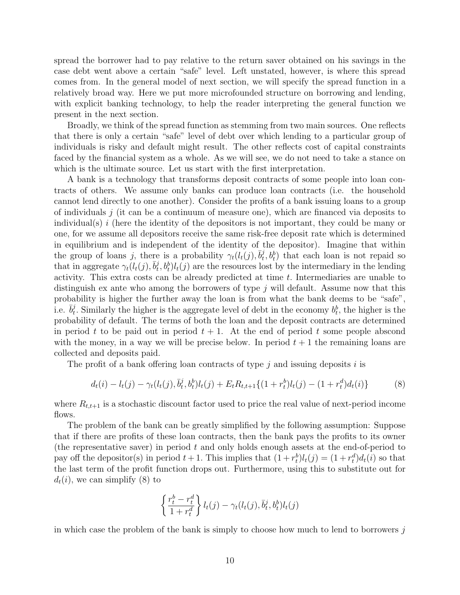spread the borrower had to pay relative to the return saver obtained on his savings in the case debt went above a certain "safe" level. Left unstated, however, is where this spread comes from. In the general model of next section, we will specify the spread function in a relatively broad way. Here we put more microfounded structure on borrowing and lending, with explicit banking technology, to help the reader interpreting the general function we present in the next section.

Broadly, we think of the spread function as stemming from two main sources. One reflects that there is only a certain "safe" level of debt over which lending to a particular group of individuals is risky and default might result. The other reflects cost of capital constraints faced by the financial system as a whole. As we will see, we do not need to take a stance on which is the ultimate source. Let us start with the first interpretation.

A bank is a technology that transforms deposit contracts of some people into loan contracts of others. We assume only banks can produce loan contracts (i.e. the household cannot lend directly to one another). Consider the profits of a bank issuing loans to a group of individuals  $j$  (it can be a continuum of measure one), which are financed via deposits to individual(s)  $i$  (here the identity of the depositors is not important, they could be many or one, for we assume all depositors receive the same risk-free deposit rate which is determined in equilibrium and is independent of the identity of the depositor). Imagine that within the group of loans j, there is a probability  $\gamma_t(l_t(j), \bar{b}_t^j)$  $(t, b_t^j, b_t^b)$  that each loan is not repaid so that in aggregate  $\gamma_t(l_t(j), \bar{b}_t^j)$  $(t, b_t^i)l_t(j)$  are the resources lost by the intermediary in the lending activity. This extra costs can be already predicted at time t. Intermediaries are unable to distinguish ex ante who among the borrowers of type  $j$  will default. Assume now that this probability is higher the further away the loan is from what the bank deems to be "safe", i.e.  $\bar{b}_t^j$ <sup>j</sup>. Similarly the higher is the aggregate level of debt in the economy  $b_t^b$ , the higher is the probability of default. The terms of both the loan and the deposit contracts are determined in period t to be paid out in period  $t + 1$ . At the end of period t some people abscond with the money, in a way we will be precise below. In period  $t + 1$  the remaining loans are collected and deposits paid.

The profit of a bank offering loan contracts of type  $i$  and issuing deposits i is

$$
d_t(i) - l_t(j) - \gamma_t(l_t(j), \bar{b}_t^j, b_t^b)l_t(j) + E_t R_{t,t+1}\{(1+r_t^b)l_t(j) - (1+r_t^d)d_t(i)\}
$$
(8)

where  $R_{t,t+1}$  is a stochastic discount factor used to price the real value of next-period income flows.

The problem of the bank can be greatly simplified by the following assumption: Suppose that if there are profits of these loan contracts, then the bank pays the profits to its owner (the representative saver) in period  $t$  and only holds enough assets at the end-of-period to pay off the depositor(s) in period  $t + 1$ . This implies that  $(1 + r_t^b)l_t(j) = (1 + r_t^d)d_t(i)$  so that the last term of the profit function drops out. Furthermore, using this to substitute out for  $d_t(i)$ , we can simplify (8) to

$$
\left\{\frac{r_t^b - r_t^d}{1 + r_t^d}\right\} l_t(j) - \gamma_t(l_t(j), \overline{b}_t^j, b_t^b) l_t(j)
$$

in which case the problem of the bank is simply to choose how much to lend to borrowers  $j$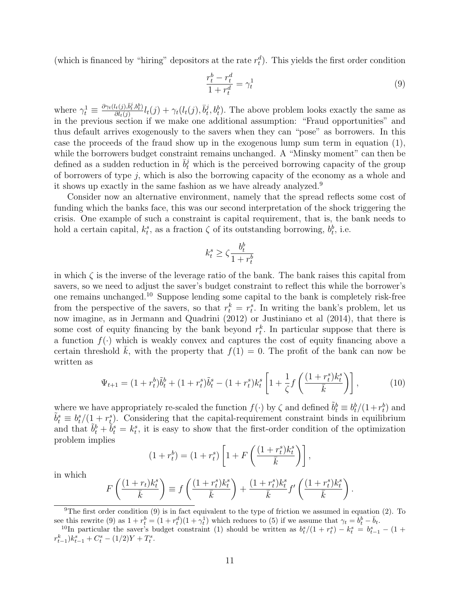(which is financed by "hiring" depositors at the rate  $r_t^d$ ). This yields the first order condition

$$
\frac{r_t^b - r_t^d}{1 + r_t^d} = \gamma_t^1 \tag{9}
$$

where  $\gamma_t^1 \equiv \frac{\partial \gamma_t(l_t(j), \bar{b}_t^j, b_t^b)}{\partial l_t(j)}$  $\frac{d_{t}(j),\bar{b}_{t}^{j},b_{t}^{b})}{\partial l_{t}(j)}l_{t}(j)+\gamma_{t}(l_{t}(j),\bar{b}_{t}^{j})$  $(t, b_t^j)$ . The above problem looks exactly the same as in the previous section if we make one additional assumption: "Fraud opportunities" and thus default arrives exogenously to the savers when they can "pose" as borrowers. In this case the proceeds of the fraud show up in the exogenous lump sum term in equation (1), while the borrowers budget constraint remains unchanged. A "Minsky moment" can then be defined as a sudden reduction in  $\bar{b}_t^j$  which is the perceived borrowing capacity of the group of borrowers of type j, which is also the borrowing capacity of the economy as a whole and it shows up exactly in the same fashion as we have already analyzed.<sup>9</sup>

Consider now an alternative environment, namely that the spread reflects some cost of funding which the banks face, this was our second interpretation of the shock triggering the crisis. One example of such a constraint is capital requirement, that is, the bank needs to hold a certain capital,  $k_t^s$ , as a fraction  $\zeta$  of its outstanding borrowing,  $b_t^b$ , i.e.

$$
k_t^s \ge \zeta \frac{b_t^b}{1+r_t^b}
$$

in which  $\zeta$  is the inverse of the leverage ratio of the bank. The bank raises this capital from savers, so we need to adjust the saver's budget constraint to reflect this while the borrower's one remains unchanged.<sup>10</sup> Suppose lending some capital to the bank is completely risk-free from the perspective of the savers, so that  $r_t^k = r_t^s$ . In writing the bank's problem, let us now imagine, as in Jermann and Quadrini (2012) or Justiniano et al (2014), that there is some cost of equity financing by the bank beyond  $r_t^k$ . In particular suppose that there is a function  $f(\cdot)$  which is weakly convex and captures the cost of equity financing above a certain threshold  $\bar{k}$ , with the property that  $f(1) = 0$ . The profit of the bank can now be written as

$$
\Psi_{t+1} = (1 + r_t^b)\tilde{b}_t^b + (1 + r_t^s)\tilde{b}_t^s - (1 + r_t^s)k_t^s \left[1 + \frac{1}{\zeta}f\left(\frac{(1 + r_t^s)k_t^s}{\bar{k}}\right)\right],\tag{10}
$$

where we have appropriately re-scaled the function  $f(\cdot)$  by  $\zeta$  and defined  $\tilde{b}_t^b \equiv b_t^b/(1+r_t^b)$  and  $\tilde{b}_t^s \equiv b_t^s/(1 + r_t^s)$ . Considering that the capital-requirement constraint binds in equilibrium and that  $\tilde{b}_t^b + \tilde{b}_t^s = k_t^s$ , it is easy to show that the first-order condition of the optimization problem implies

$$
(1 + r_t^b) = (1 + r_t^s) \left[ 1 + F\left(\frac{(1 + r_t^s)k_t^s}{\bar{k}}\right) \right],
$$

in which

$$
F\left(\frac{(1+r_t)k_t^s}{\bar{k}}\right) \equiv f\left(\frac{(1+r_t^s)k_t^s}{\bar{k}}\right) + \frac{(1+r_t^s)k_t^s}{\bar{k}}f'\left(\frac{(1+r_t^s)k_t^s}{\bar{k}}\right).
$$

<sup>9</sup>The first order condition (9) is in fact equivalent to the type of friction we assumed in equation (2). To see this rewrite (9) as  $1 + r_t^b = (1 + r_t^d)(1 + \gamma_t^1)$  which reduces to (5) if we assume that  $\gamma_t = b_t^b - \bar{b}_t$ .

<sup>&</sup>lt;sup>10</sup>In particular the saver's budget constraint (1) should be written as  $b_t^s/(1 + r_t^s) - k_t^s = b_{t-1}^s - (1 +$  $r_{t-1}^k$ ) $k_{t-1}^s + C_t^s - (1/2)Y + T_t^s$ .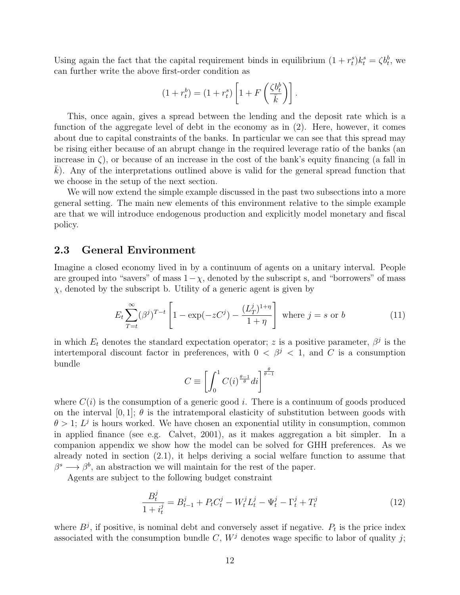Using again the fact that the capital requirement binds in equilibrium  $(1 + r_t^s)k_t^s = \zeta b_t^b$ , we can further write the above first-order condition as

$$
(1 + r_t^b) = (1 + r_t^s) \left[ 1 + F\left(\frac{\zeta b_t^b}{\bar{k}}\right) \right].
$$

This, once again, gives a spread between the lending and the deposit rate which is a function of the aggregate level of debt in the economy as in (2). Here, however, it comes about due to capital constraints of the banks. In particular we can see that this spread may be rising either because of an abrupt change in the required leverage ratio of the banks (an increase in  $\zeta$ ), or because of an increase in the cost of the bank's equity financing (a fall in  $k$ ). Any of the interpretations outlined above is valid for the general spread function that we choose in the setup of the next section.

We will now extend the simple example discussed in the past two subsections into a more general setting. The main new elements of this environment relative to the simple example are that we will introduce endogenous production and explicitly model monetary and fiscal policy.

#### 2.3 General Environment

Imagine a closed economy lived in by a continuum of agents on a unitary interval. People are grouped into "savers" of mass  $1-\chi$ , denoted by the subscript s, and "borrowers" of mass  $\chi$ , denoted by the subscript b. Utility of a generic agent is given by

$$
E_t \sum_{T=t}^{\infty} (\beta^j)^{T-t} \left[ 1 - \exp(-zC^j) - \frac{(L_T^j)^{1+\eta}}{1+\eta} \right] \text{ where } j = s \text{ or } b \tag{11}
$$

in which  $E_t$  denotes the standard expectation operator; z is a positive parameter,  $\beta^j$  is the intertemporal discount factor in preferences, with  $0 < \beta^{j} < 1$ , and C is a consumption bundle

$$
C \equiv \left[ \int_0^1 C(i)^{\frac{\theta - 1}{\theta}} di \right]^{\frac{\theta}{\theta - 1}}
$$

where  $C(i)$  is the consumption of a generic good i. There is a continuum of goods produced on the interval [0, 1];  $\theta$  is the intratemporal elasticity of substitution between goods with  $\theta > 1$ ;  $L^{j}$  is hours worked. We have chosen an exponential utility in consumption, common in applied finance (see e.g. Calvet, 2001), as it makes aggregation a bit simpler. In a companion appendix we show how the model can be solved for GHH preferences. As we already noted in section (2.1), it helps deriving a social welfare function to assume that  $\beta^s \longrightarrow \beta^b$ , an abstraction we will maintain for the rest of the paper.

Agents are subject to the following budget constraint

$$
\frac{B_t^j}{1+i_t^j} = B_{t-1}^j + P_t C_t^j - W_t^j L_t^j - \Psi_t^j - \Gamma_t^j + T_t^j \tag{12}
$$

where  $B<sup>j</sup>$ , if positive, is nominal debt and conversely asset if negative.  $P<sub>t</sub>$  is the price index associated with the consumption bundle C,  $W<sup>j</sup>$  denotes wage specific to labor of quality j;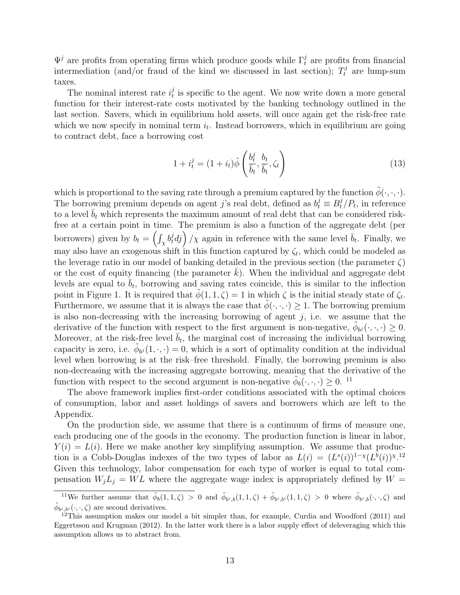$\Psi^j$  are profits from operating firms which produce goods while  $\Gamma_t^j$  are profits from financial intermediation (and/or fraud of the kind we discussed in last section);  $T_t^j$  are lump-sum taxes.

The nominal interest rate  $i_t^j$  $t<sub>t</sub><sup>j</sup>$  is specific to the agent. We now write down a more general function for their interest-rate costs motivated by the banking technology outlined in the last section. Savers, which in equilibrium hold assets, will once again get the risk-free rate which we now specify in nominal term  $i_t$ . Instead borrowers, which in equilibrium are going to contract debt, face a borrowing cost

$$
1 + i_t^j = (1 + i_t)\tilde{\phi}\left(\frac{b_t^j}{\overline{b}_t}, \frac{b_t}{\overline{b}_t}, \zeta_t\right) \tag{13}
$$

which is proportional to the saving rate through a premium captured by the function  $\phi(\cdot, \cdot, \cdot)$ . The borrowing premium depends on agent j's real debt, defined as  $b_t^j \equiv B_t^j/P_t$ , in reference to a level  $b_t$  which represents the maximum amount of real debt that can be considered riskfree at a certain point in time. The premium is also a function of the aggregate debt (per borrowers) given by  $b_t = \left(\int_X b_t^j dj\right)/\chi$  again in reference with the same level  $\bar{b}_t$ . Finally, we may also have an exogenous shift in this function captured by  $\zeta_t$ , which could be modeled as the leverage ratio in our model of banking detailed in the previous section (the parameter  $\zeta$ ) or the cost of equity financing (the parameter  $k$ ). When the individual and aggregate debt levels are equal to  $\bar{b}_t$ , borrowing and saving rates coincide, this is similar to the inflection point in Figure 1. It is required that  $\tilde{\phi}(1,1,\zeta) = 1$  in which  $\zeta$  is the initial steady state of  $\zeta_t$ . Furthermore, we assume that it is always the case that  $\phi(\cdot,\cdot,\cdot) \geq 1$ . The borrowing premium is also non-decreasing with the increasing borrowing of agent  $j$ , i.e. we assume that the derivative of the function with respect to the first argument is non-negative,  $\tilde{\phi}_{b^j}(\cdot,\cdot,\cdot) \geq 0$ . Moreover, at the risk-free level  $\bar{b}_t$ , the marginal cost of increasing the individual borrowing capacity is zero, i.e.  $\tilde{\phi}_{b,i}(1,\cdot,\cdot)=0$ , which is a sort of optimality condition at the individual level when borrowing is at the risk–free threshold. Finally, the borrowing premium is also non-decreasing with the increasing aggregate borrowing, meaning that the derivative of the function with respect to the second argument is non-negative  $\tilde{\phi}_b(\cdot,\cdot,\cdot) \geq 0$ . <sup>11</sup>

The above framework implies first-order conditions associated with the optimal choices of consumption, labor and asset holdings of savers and borrowers which are left to the Appendix.

On the production side, we assume that there is a continuum of firms of measure one, each producing one of the goods in the economy. The production function is linear in labor,  $Y(i) = L(i)$ . Here we make another key simplifying assumption. We assume that production is a Cobb-Douglas indexes of the two types of labor as  $L(i) = (L^{s}(i))^{1-\chi}(L^{b}(i))^{\chi}$ .<sup>12</sup> Given this technology, labor compensation for each type of worker is equal to total compensation  $W_i L_j = WL$  where the aggregate wage index is appropriately defined by  $W =$ 

<sup>&</sup>lt;sup>11</sup>We further assume that  $\tilde{\phi}_b(1,1,\zeta) > 0$  and  $\tilde{\phi}_{b^i,b}(1,1,\zeta) + \tilde{\phi}_{b^i,b^i}(1,1,\zeta) > 0$  where  $\tilde{\phi}_{b^i,b}(\cdot,\cdot,\zeta)$  and  $\tilde{\phi}_{b^i,b^i}(\cdot,\cdot,\zeta)$  are second derivatives.

 $12$ This assumption makes our model a bit simpler than, for example, Curdia and Woodford (2011) and Eggertsson and Krugman (2012). In the latter work there is a labor supply effect of deleveraging which this assumption allows us to abstract from.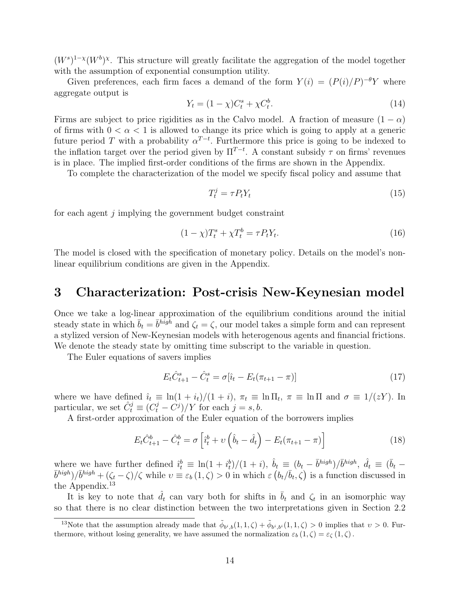$(W<sup>s</sup>)<sup>1-x</sup>(W<sup>b</sup>)<sup>x</sup>$ . This structure will greatly facilitate the aggregation of the model together with the assumption of exponential consumption utility.

Given preferences, each firm faces a demand of the form  $Y(i) = (P(i)/P)^{-\theta}Y$  where aggregate output is

$$
Y_t = (1 - \chi)C_t^s + \chi C_t^b.
$$
\n(14)

Firms are subject to price rigidities as in the Calvo model. A fraction of measure  $(1 - \alpha)$ of firms with  $0 < \alpha < 1$  is allowed to change its price which is going to apply at a generic future period T with a probability  $\alpha^{T-t}$ . Furthermore this price is going to be indexed to the inflation target over the period given by  $\Pi^{T-t}$ . A constant subsidy  $\tau$  on firms' revenues is in place. The implied first-order conditions of the firms are shown in the Appendix.

To complete the characterization of the model we specify fiscal policy and assume that

$$
T_t^j = \tau P_t Y_t \tag{15}
$$

for each agent j implying the government budget constraint

$$
(1 - \chi)T_t^s + \chi T_t^b = \tau P_t Y_t.
$$
\n
$$
(16)
$$

The model is closed with the specification of monetary policy. Details on the model's nonlinear equilibrium conditions are given in the Appendix.

### 3 Characterization: Post-crisis New-Keynesian model

Once we take a log-linear approximation of the equilibrium conditions around the initial steady state in which  $\bar{b}_t = \bar{b}^{high}$  and  $\zeta_t = \zeta$ , our model takes a simple form and can represent a stylized version of New-Keynesian models with heterogenous agents and financial frictions. We denote the steady state by omitting time subscript to the variable in question.

The Euler equations of savers implies

$$
E_t \hat{C}_{t+1}^s - \hat{C}_t^s = \sigma[\hat{i}_t - E_t(\pi_{t+1} - \pi)] \tag{17}
$$

where we have defined  $\hat{i}_t \equiv \ln(1 + i_t)/(1 + i)$ ,  $\pi_t \equiv \ln \Pi_t$ ,  $\pi \equiv \ln \Pi$  and  $\sigma \equiv 1/(zY)$ . In particular, we set  $\hat{C}_t^j \equiv (C_t^j - C_j^j)/Y$  for each  $j = s, b$ .

A first-order approximation of the Euler equation of the borrowers implies

$$
E_t \hat{C}_{t+1}^b - \hat{C}_t^b = \sigma \left[ \hat{i}_t^b + \upsilon \left( \hat{b}_t - \hat{d}_t \right) - E_t (\pi_{t+1} - \pi) \right]
$$
 (18)

where we have further defined  $\hat{i}_t^b \equiv \ln(1 + i_t^b)/(1 + i)$ ,  $\hat{b}_t \equiv (b_t - \bar{b}^{high})/\bar{b}^{high}$ ,  $\hat{d}_t \equiv (\bar{b}_t - \bar{b}_t)^{high}$  $(\bar{b}^{high})/\bar{b}^{high} + (\zeta_t - \zeta)/\zeta$  while  $v \equiv \varepsilon_b (1, \zeta) > 0$  in which  $\varepsilon (b_t/\bar{b}_t, \zeta)$  is a function discussed in the Appendix. 13

It is key to note that  $\hat{d}_t$  can vary both for shifts in  $\bar{b}_t$  and  $\zeta_t$  in an isomorphic way so that there is no clear distinction between the two interpretations given in Section 2.2

<sup>&</sup>lt;sup>13</sup>Note that the assumption already made that  $\tilde{\phi}_{b^i,b}(1,1,\zeta) + \tilde{\phi}_{b^i,b^i}(1,1,\zeta) > 0$  implies that  $v > 0$ . Furthermore, without losing generality, we have assumed the normalization  $\varepsilon_b (1, \zeta) = \varepsilon_{\zeta} (1, \zeta)$ .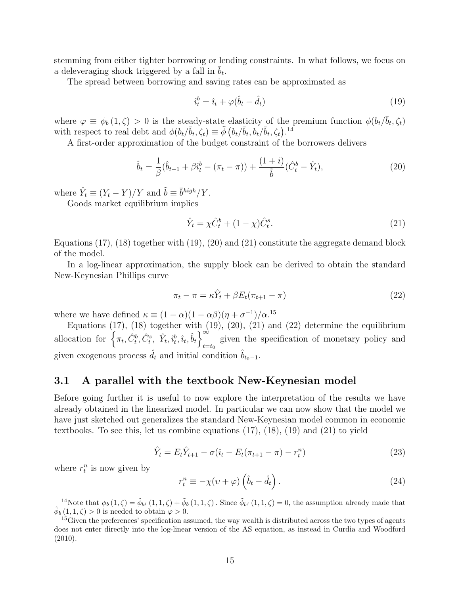stemming from either tighter borrowing or lending constraints. In what follows, we focus on a deleveraging shock triggered by a fall in  $\bar{b}_t$ .

The spread between borrowing and saving rates can be approximated as

$$
\hat{i}_t^b = \hat{i}_t + \varphi(\hat{b}_t - \hat{d}_t) \tag{19}
$$

where  $\varphi \equiv \phi_b(1,\zeta) > 0$  is the steady-state elasticity of the premium function  $\phi(b_t/\bar{b}_t, \zeta_t)$ with respect to real debt and  $\phi(b_t/\bar{b}_t, \zeta_t) \equiv \tilde{\phi}(b_t/\bar{b}_t, b_t/\bar{b}_t, \zeta_t)^{-14}$ 

A first-order approximation of the budget constraint of the borrowers delivers

$$
\hat{b}_t = \frac{1}{\beta} (\hat{b}_{t-1} + \beta \hat{i}_t^b - (\pi_t - \pi)) + \frac{(1+i)}{\tilde{b}} (\hat{C}_t^b - \hat{Y}_t), \tag{20}
$$

where  $\hat{Y}_t \equiv (Y_t - Y)/Y$  and  $\tilde{b} \equiv \bar{b}^{high}/Y$ .

Goods market equilibrium implies

$$
\hat{Y}_t = \chi \hat{C}_t^b + (1 - \chi) \hat{C}_t^s.
$$
\n(21)

Equations  $(17)$ ,  $(18)$  together with  $(19)$ ,  $(20)$  and  $(21)$  constitute the aggregate demand block of the model.

In a log-linear approximation, the supply block can be derived to obtain the standard New-Keynesian Phillips curve

$$
\pi_t - \pi = \kappa \hat{Y}_t + \beta E_t (\pi_{t+1} - \pi) \tag{22}
$$

where we have defined  $\kappa \equiv (1 - \alpha)(1 - \alpha \beta)(\eta + \sigma^{-1})/\alpha^{15}$ 

Equations  $(17)$ ,  $(18)$  together with  $(19)$ ,  $(20)$ ,  $(21)$  and  $(22)$  determine the equilibrium allocation for  $\left\{\pi_t, \hat{C}_t^b, \hat{C}_t^s, \hat{Y}_t, \hat{i}_t^b, \hat{i}_t, \hat{b}_t\right\}^{\infty}$  $_{t=t_0}$ given the specification of monetary policy and given exogenous process  $d_t$  and initial condition  $b_{t_0-1}$ .

#### 3.1 A parallel with the textbook New-Keynesian model

Before going further it is useful to now explore the interpretation of the results we have already obtained in the linearized model. In particular we can now show that the model we have just sketched out generalizes the standard New-Keynesian model common in economic textbooks. To see this, let us combine equations (17), (18), (19) and (21) to yield

$$
\hat{Y}_t = E_t \hat{Y}_{t+1} - \sigma(\hat{\imath}_t - E_t(\pi_{t+1} - \pi) - r_t^n)
$$
\n(23)

where  $r_t^n$  is now given by

$$
r_t^n \equiv -\chi(v+\varphi)\left(\hat{b}_t - \hat{d}_t\right). \tag{24}
$$

<sup>&</sup>lt;sup>14</sup>Note that  $\phi_b(1,\zeta) = \tilde{\phi}_{b}$   $(1,1,\zeta) + \tilde{\phi}_b(1,1,\zeta)$ . Since  $\tilde{\phi}_{b}$   $(1,1,\zeta) = 0$ , the assumption already made that  $\tilde{\phi}_b(1,1,\zeta) > 0$  is needed to obtain  $\varphi > 0$ .

<sup>&</sup>lt;sup>15</sup>Given the preferences' specification assumed, the way wealth is distributed across the two types of agents does not enter directly into the log-linear version of the AS equation, as instead in Curdia and Woodford  $(2010).$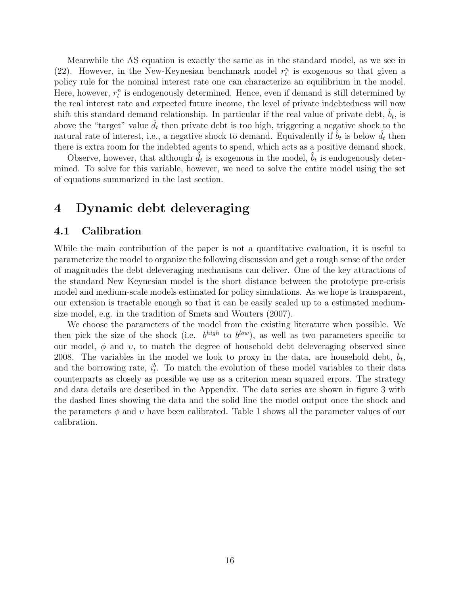Meanwhile the AS equation is exactly the same as in the standard model, as we see in (22). However, in the New-Keynesian benchmark model  $r_t^n$  is exogenous so that given a policy rule for the nominal interest rate one can characterize an equilibrium in the model. Here, however,  $r_t^n$  is endogenously determined. Hence, even if demand is still determined by the real interest rate and expected future income, the level of private indebtedness will now shift this standard demand relationship. In particular if the real value of private debt,  $\hat{b}_t$ , is above the "target" value  $d_t$  then private debt is too high, triggering a negative shock to the natural rate of interest, i.e., a negative shock to demand. Equivalently if  $\hat{b}_t$  is below  $\hat{d}_t$  then there is extra room for the indebted agents to spend, which acts as a positive demand shock.

Observe, however, that although  $\tilde{d}_t$  is exogenous in the model,  $\hat{b}_t$  is endogenously determined. To solve for this variable, however, we need to solve the entire model using the set of equations summarized in the last section.

### 4 Dynamic debt deleveraging

#### 4.1 Calibration

While the main contribution of the paper is not a quantitative evaluation, it is useful to parameterize the model to organize the following discussion and get a rough sense of the order of magnitudes the debt deleveraging mechanisms can deliver. One of the key attractions of the standard New Keynesian model is the short distance between the prototype pre-crisis model and medium-scale models estimated for policy simulations. As we hope is transparent, our extension is tractable enough so that it can be easily scaled up to a estimated mediumsize model, e.g. in the tradition of Smets and Wouters (2007).

We choose the parameters of the model from the existing literature when possible. We then pick the size of the shock (i.e.  $b^{high}$  to  $b^{low}$ ), as well as two parameters specific to our model,  $\phi$  and  $v$ , to match the degree of household debt deleveraging observed since 2008. The variables in the model we look to proxy in the data, are household debt,  $b_t$ , and the borrowing rate,  $i_t^b$ . To match the evolution of these model variables to their data counterparts as closely as possible we use as a criterion mean squared errors. The strategy and data details are described in the Appendix. The data series are shown in figure 3 with the dashed lines showing the data and the solid line the model output once the shock and the parameters  $\phi$  and  $\upsilon$  have been calibrated. Table 1 shows all the parameter values of our calibration.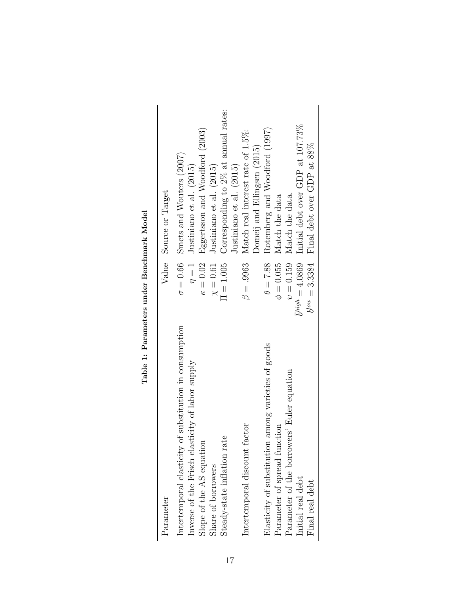| Parameter                                               |                           | Value Source or Target                        |
|---------------------------------------------------------|---------------------------|-----------------------------------------------|
| Intertemporal elasticity of substitution in consumption |                           | $\sigma = 0.66$ Smets and Wouters (2007)      |
| Inverse of the Frisch elasticity of labor supply        | $\eta = 1$                | Justiniano et al. (2015)                      |
| Slope of the AS equation                                | $\kappa = 0.02$           | Eggertsson and Woodford (2003)                |
| Share of borrowers                                      | $\chi=0.61$               | Justiniano et al. (2015)                      |
| Steady-state inflation rate                             | $\Pi = 1.005$             | Corresponding to 2% at annual rates:          |
|                                                         |                           | Justiniano et al. (2015)                      |
| Intertemporal discount factor                           | $\beta = .9963$           | Match real interest rate of 1.5%:             |
|                                                         |                           | Domeij and Ellingsen (2015)                   |
| Elasticity of substitution among varieties of goods     |                           | $\theta = 7.88$ Rotemberg and Woodford (1997) |
| Parameter of spread function                            |                           | $\phi = 0.055$ Match the data                 |
| Parameter of the borrowers' Euler equation              |                           | $v = 0.159$ Match the data.                   |
| Initial real debt                                       | $\bar{b}^{high} = 4.0869$ | Initial debt over GDP at 107.73%              |
| Final real debt                                         |                           | $b^{low} = 3.3384$ Final debt over GDP at 88% |
|                                                         |                           |                                               |

Table 1: Parameters under Benchmark Model Table 1: Parameters under Benchmark Model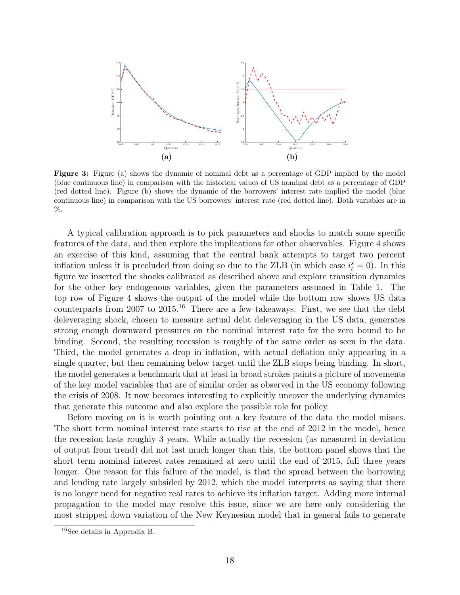

Figure 3: Figure (a) shows the dynamic of nominal debt as a percentage of GDP implied by the model (blue continuous line) in comparison with the historical values of US nominal debt as a percentage of GDP (red dotted line). Figure (b) shows the dynamic of the borrowers' interest rate implied the model (blue continuous line) in comparison with the US borrowers' interest rate (red dotted line). Both variables are in %.

A typical calibration approach is to pick parameters and shocks to match some specific features of the data, and then explore the implications for other observables. Figure 4 shows an exercise of this kind, assuming that the central bank attempts to target two percent inflation unless it is precluded from doing so due to the ZLB (in which case  $i_t^s = 0$ ). In this figure we inserted the shocks calibrated as described above and explore transition dynamics for the other key endogenous variables, given the parameters assumed in Table 1. The top row of Figure 4 shows the output of the model while the bottom row shows US data counterparts from 2007 to 2015.<sup>16</sup> There are a few takeaways. First, we see that the debt deleveraging shock, chosen to measure actual debt deleveraging in the US data, generates strong enough downward pressures on the nominal interest rate for the zero bound to be binding. Second, the resulting recession is roughly of the same order as seen in the data. Third, the model generates a drop in inflation, with actual deflation only appearing in a single quarter, but then remaining below target until the ZLB stops being binding. In short, the model generates a benchmark that at least in broad strokes paints a picture of movements of the key model variables that are of similar order as observed in the US economy following the crisis of 2008. It now becomes interesting to explicitly uncover the underlying dynamics that generate this outcome and also explore the possible role for policy.

Before moving on it is worth pointing out a key feature of the data the model misses. The short term nominal interest rate starts to rise at the end of 2012 in the model, hence the recession lasts roughly 3 years. While actually the recession (as measured in deviation of output from trend) did not last much longer than this, the bottom panel shows that the short term nominal interest rates remained at zero until the end of 2015, full three years longer. One reason for this failure of the model, is that the spread between the borrowing and lending rate largely subsided by 2012, which the model interprets as saying that there is no longer need for negative real rates to achieve its inflation target. Adding more internal propagation to the model may resolve this issue, since we are here only considering the most stripped down variation of the New Keynesian model that in general fails to generate

<sup>16</sup>See details in Appendix B.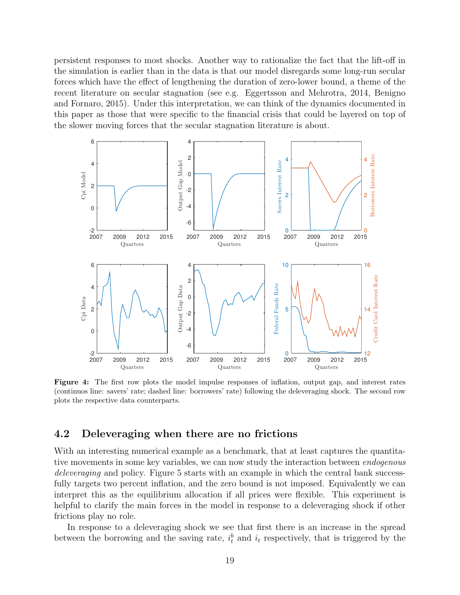persistent responses to most shocks. Another way to rationalize the fact that the lift-off in the simulation is earlier than in the data is that our model disregards some long-run secular forces which have the effect of lengthening the duration of zero-lower bound, a theme of the recent literature on secular stagnation (see e.g. Eggertsson and Mehrotra, 2014, Benigno and Fornaro, 2015). Under this interpretation, we can think of the dynamics documented in this paper as those that were specific to the financial crisis that could be layered on top of the slower moving forces that the secular stagnation literature is about.



Figure 4: The first row plots the model impulse responses of inflation, output gap, and interest rates (continuos line: savers' rate; dashed line: borrowers' rate) following the deleveraging shock. The second row plots the respective data counterparts.

#### 4.2 Deleveraging when there are no frictions

With an interesting numerical example as a benchmark, that at least captures the quantitative movements in some key variables, we can now study the interaction between *endogenous* deleveraging and policy. Figure 5 starts with an example in which the central bank successfully targets two percent inflation, and the zero bound is not imposed. Equivalently we can interpret this as the equilibrium allocation if all prices were flexible. This experiment is helpful to clarify the main forces in the model in response to a deleveraging shock if other frictions play no role.

In response to a deleveraging shock we see that first there is an increase in the spread between the borrowing and the saving rate,  $i_t^b$  and  $i_t$  respectively, that is triggered by the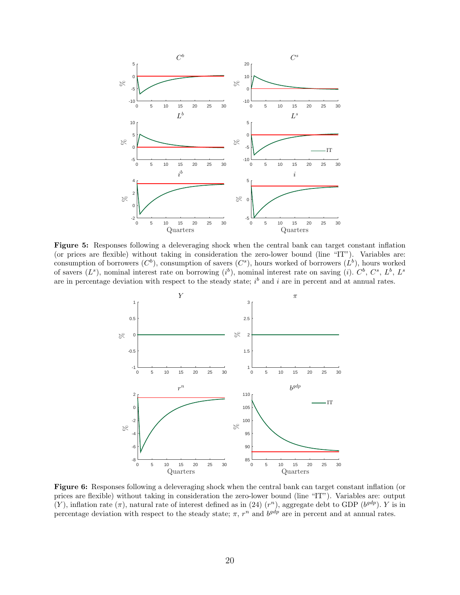

Figure 5: Responses following a deleveraging shock when the central bank can target constant inflation (or prices are flexible) without taking in consideration the zero-lower bound (line "IT"). Variables are: consumption of borrowers  $(C^b)$ , consumption of savers  $(C^s)$ , hours worked of borrowers  $(L^b)$ , hours worked of savers  $(L^s)$ , nominal interest rate on borrowing  $(i^b)$ , nominal interest rate on saving  $(i)$ .  $C^b$ ,  $C^s$ ,  $L^b$ ,  $L^s$ are in percentage deviation with respect to the steady state;  $i^b$  and i are in percent and at annual rates.



Figure 6: Responses following a deleveraging shock when the central bank can target constant inflation (or prices are flexible) without taking in consideration the zero-lower bound (line "IT"). Variables are: output (Y), inflation rate  $(\pi)$ , natural rate of interest defined as in (24)  $(r^n)$ , aggregate debt to GDP ( $b^{gdp}$ ). Y is in percentage deviation with respect to the steady state;  $\pi$ ,  $r^n$  and  $b^{gdp}$  are in percent and at annual rates.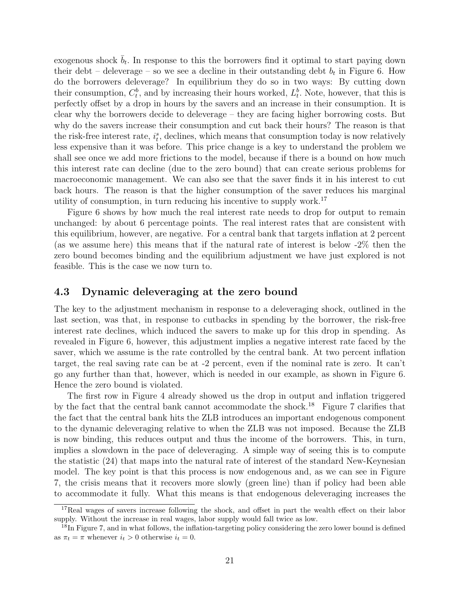exogenous shock  $\bar{b}_t$ . In response to this the borrowers find it optimal to start paying down their debt – deleverage – so we see a decline in their outstanding debt  $b_t$  in Figure 6. How do the borrowers deleverage? In equilibrium they do so in two ways: By cutting down their consumption,  $C_t^b$ , and by increasing their hours worked,  $L_t^b$ . Note, however, that this is perfectly offset by a drop in hours by the savers and an increase in their consumption. It is clear why the borrowers decide to deleverage – they are facing higher borrowing costs. But why do the savers increase their consumption and cut back their hours? The reason is that the risk-free interest rate,  $i_t^s$ , declines, which means that consumption today is now relatively less expensive than it was before. This price change is a key to understand the problem we shall see once we add more frictions to the model, because if there is a bound on how much this interest rate can decline (due to the zero bound) that can create serious problems for macroeconomic management. We can also see that the saver finds it in his interest to cut back hours. The reason is that the higher consumption of the saver reduces his marginal utility of consumption, in turn reducing his incentive to supply work.<sup>17</sup>

Figure 6 shows by how much the real interest rate needs to drop for output to remain unchanged: by about 6 percentage points. The real interest rates that are consistent with this equilibrium, however, are negative. For a central bank that targets inflation at 2 percent (as we assume here) this means that if the natural rate of interest is below -2% then the zero bound becomes binding and the equilibrium adjustment we have just explored is not feasible. This is the case we now turn to.

#### 4.3 Dynamic deleveraging at the zero bound

The key to the adjustment mechanism in response to a deleveraging shock, outlined in the last section, was that, in response to cutbacks in spending by the borrower, the risk-free interest rate declines, which induced the savers to make up for this drop in spending. As revealed in Figure 6, however, this adjustment implies a negative interest rate faced by the saver, which we assume is the rate controlled by the central bank. At two percent inflation target, the real saving rate can be at -2 percent, even if the nominal rate is zero. It can't go any further than that, however, which is needed in our example, as shown in Figure 6. Hence the zero bound is violated.

The first row in Figure 4 already showed us the drop in output and inflation triggered by the fact that the central bank cannot accommodate the shock.<sup>18</sup> Figure 7 clarifies that the fact that the central bank hits the ZLB introduces an important endogenous component to the dynamic deleveraging relative to when the ZLB was not imposed. Because the ZLB is now binding, this reduces output and thus the income of the borrowers. This, in turn, implies a slowdown in the pace of deleveraging. A simple way of seeing this is to compute the statistic (24) that maps into the natural rate of interest of the standard New-Keynesian model. The key point is that this process is now endogenous and, as we can see in Figure 7, the crisis means that it recovers more slowly (green line) than if policy had been able to accommodate it fully. What this means is that endogenous deleveraging increases the

<sup>&</sup>lt;sup>17</sup>Real wages of savers increase following the shock, and offset in part the wealth effect on their labor supply. Without the increase in real wages, labor supply would fall twice as low.

<sup>&</sup>lt;sup>18</sup>In Figure 7, and in what follows, the inflation-targeting policy considering the zero lower bound is defined as  $\pi_t = \pi$  whenever  $i_t > 0$  otherwise  $i_t = 0$ .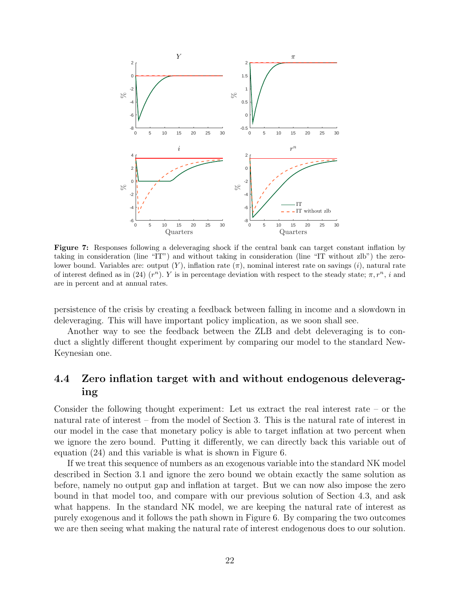

Figure 7: Responses following a deleveraging shock if the central bank can target constant inflation by taking in consideration (line "IT") and without taking in consideration (line "IT without zlb") the zerolower bound. Variables are: output  $(Y)$ , inflation rate  $(\pi)$ , nominal interest rate on savings  $(i)$ , natural rate of interest defined as in (24)  $(r^n)$ . Y is in percentage deviation with respect to the steady state;  $\pi$ ,  $r^n$ , i and are in percent and at annual rates.

persistence of the crisis by creating a feedback between falling in income and a slowdown in deleveraging. This will have important policy implication, as we soon shall see.

Another way to see the feedback between the ZLB and debt deleveraging is to conduct a slightly different thought experiment by comparing our model to the standard New-Keynesian one.

### 4.4 Zero inflation target with and without endogenous deleveraging

Consider the following thought experiment: Let us extract the real interest rate – or the natural rate of interest – from the model of Section 3. This is the natural rate of interest in our model in the case that monetary policy is able to target inflation at two percent when we ignore the zero bound. Putting it differently, we can directly back this variable out of equation (24) and this variable is what is shown in Figure 6.

If we treat this sequence of numbers as an exogenous variable into the standard NK model described in Section 3.1 and ignore the zero bound we obtain exactly the same solution as before, namely no output gap and inflation at target. But we can now also impose the zero bound in that model too, and compare with our previous solution of Section 4.3, and ask what happens. In the standard NK model, we are keeping the natural rate of interest as purely exogenous and it follows the path shown in Figure 6. By comparing the two outcomes we are then seeing what making the natural rate of interest endogenous does to our solution.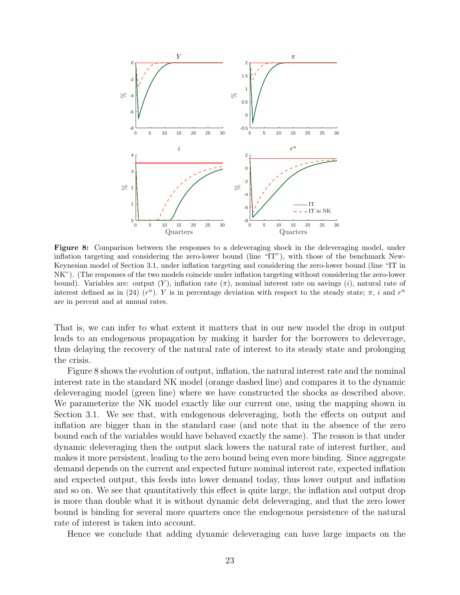

Figure 8: Comparison between the responses to a deleveraging shock in the deleveraging model, under inflation targeting and considering the zero-lower bound (line "IT"), with those of the benchmark New-Keynesian model of Section 3.1, under inflation targeting and considering the zero-lower bound (line "IT in NK"). (The responses of the two models coincide under inflation targeting without considering the zero-lower bound). Variables are: output  $(Y)$ , inflation rate  $(\pi)$ , nominal interest rate on savings  $(i)$ , natural rate of interest defined as in (24)  $(r^n)$ . Y is in percentage deviation with respect to the steady state;  $\pi$ , i and  $r^n$ are in percent and at annual rates.

That is, we can infer to what extent it matters that in our new model the drop in output leads to an endogenous propagation by making it harder for the borrowers to deleverage, thus delaying the recovery of the natural rate of interest to its steady state and prolonging the crisis.

Figure 8 shows the evolution of output, inflation, the natural interest rate and the nominal interest rate in the standard NK model (orange dashed line) and compares it to the dynamic deleveraging model (green line) where we have constructed the shocks as described above. We parameterize the NK model exactly like our current one, using the mapping shown in Section 3.1. We see that, with endogenous deleveraging, both the effects on output and inflation are bigger than in the standard case (and note that in the absence of the zero bound each of the variables would have behaved exactly the same). The reason is that under dynamic deleveraging then the output slack lowers the natural rate of interest further, and makes it more persistent, leading to the zero bound being even more binding. Since aggregate demand depends on the current and expected future nominal interest rate, expected inflation and expected output, this feeds into lower demand today, thus lower output and inflation and so on. We see that quantitatively this effect is quite large, the inflation and output drop is more than double what it is without dynamic debt deleveraging, and that the zero lower bound is binding for several more quarters once the endogenous persistence of the natural rate of interest is taken into account.

Hence we conclude that adding dynamic deleveraging can have large impacts on the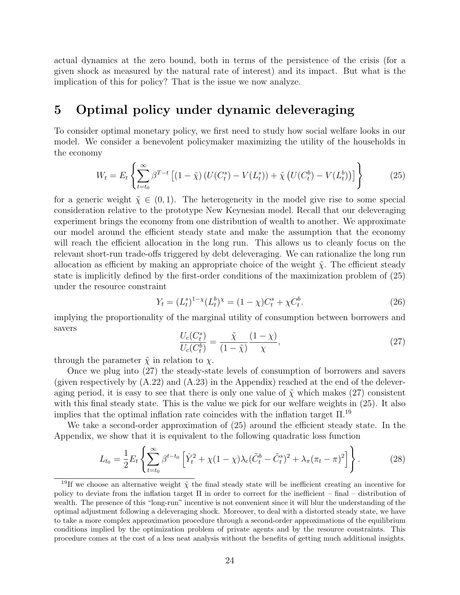actual dynamics at the zero bound, both in terms of the persistence of the crisis (for a given shock as measured by the natural rate of interest) and its impact. But what is the implication of this for policy? That is the issue we now analyze.

### 5 Optimal policy under dynamic deleveraging

To consider optimal monetary policy, we first need to study how social welfare looks in our model. We consider a benevolent policymaker maximizing the utility of the households in the economy

$$
W_t = E_t \left\{ \sum_{t=t_0}^{\infty} \beta^{T-t} \left[ (1 - \tilde{\chi}) \left( U(C_t^s) - V(L_t^s) \right) + \tilde{\chi} \left( U(C_t^b) - V(L_t^b) \right) \right] \right\}
$$
(25)

for a generic weight  $\tilde{\chi} \in (0,1)$ . The heterogeneity in the model give rise to some special consideration relative to the prototype New Keynesian model. Recall that our deleveraging experiment brings the economy from one distribution of wealth to another. We approximate our model around the efficient steady state and make the assumption that the economy will reach the efficient allocation in the long run. This allows us to cleanly focus on the relevant short-run trade-offs triggered by debt deleveraging. We can rationalize the long run allocation as efficient by making an appropriate choice of the weight  $\tilde{\chi}$ . The efficient steady state is implicitly defined by the first-order conditions of the maximization problem of (25) under the resource constraint

$$
Y_t = (L_t^s)^{1-\chi}(L_t^b)^{\chi} = (1-\chi)C_t^s + \chi C_t^b.
$$
\n(26)

implying the proportionality of the marginal utility of consumption between borrowers and savers

$$
\frac{U_c(C_t^s)}{U_c(C_t^b)} = \frac{\tilde{\chi}}{(1-\tilde{\chi})} \frac{(1-\chi)}{\chi},\tag{27}
$$

through the parameter  $\tilde{\chi}$  in relation to  $\chi$ .

Once we plug into (27) the steady-state levels of consumption of borrowers and savers (given respectively by  $(A.22)$  and  $(A.23)$  in the Appendix) reached at the end of the deleveraging period, it is easy to see that there is only one value of  $\tilde{\chi}$  which makes (27) consistent with this final steady state. This is the value we pick for our welfare weights in (25). It also implies that the optimal inflation rate coincides with the inflation target  $\Pi$ <sup>19</sup>

We take a second-order approximation of (25) around the efficient steady state. In the Appendix, we show that it is equivalent to the following quadratic loss function

$$
L_{t_0} = \frac{1}{2} E_t \left\{ \sum_{t=t_0}^{\infty} \beta^{t-t_0} \left[ \hat{Y}_t^2 + \chi (1 - \chi) \lambda_c (\tilde{C}_t^b - \tilde{C}_t^s)^2 + \lambda_\pi (\pi_t - \pi)^2 \right] \right\}.
$$
 (28)

<sup>&</sup>lt;sup>19</sup>If we choose an alternative weight  $\tilde{\chi}$  the final steady state will be inefficient creating an incentive for policy to deviate from the inflation target Π in order to correct for the inefficient – final – distribution of wealth. The presence of this "long-run" incentive is not convenient since it will blur the understanding of the optimal adjustment following a deleveraging shock. Moreover, to deal with a distorted steady state, we have to take a more complex approximation procedure through a second-order approximations of the equilibrium conditions implied by the optimization problem of private agents and by the resource constraints. This procedure comes at the cost of a less neat analysis without the benefits of getting much additional insights.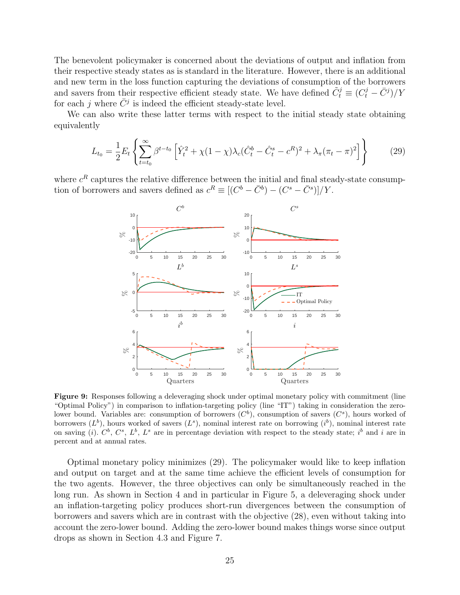The benevolent policymaker is concerned about the deviations of output and inflation from their respective steady states as is standard in the literature. However, there is an additional and new term in the loss function capturing the deviations of consumption of the borrowers and savers from their respective efficient steady state. We have defined  $\tilde{C}_t^j \equiv (C_t^j - \bar{C}^j)/Y$ for each j where  $\bar{C}^j$  is indeed the efficient steady-state level.

We can also write these latter terms with respect to the initial steady state obtaining equivalently

$$
L_{t_0} = \frac{1}{2} E_t \left\{ \sum_{t=t_0}^{\infty} \beta^{t-t_0} \left[ \hat{Y}_t^2 + \chi (1-\chi) \lambda_c (\hat{C}_t^b - \hat{C}_t^s - c^R)^2 + \lambda_\pi (\pi_t - \pi)^2 \right] \right\}
$$
(29)

where  $c<sup>R</sup>$  captures the relative difference between the initial and final steady-state consumption of borrowers and savers defined as  $c^R \equiv [(C^b - \bar{C}^b) - (C^s - \bar{C}^s)]/Y$ .



Figure 9: Responses following a deleveraging shock under optimal monetary policy with commitment (line "Optimal Policy") in comparison to inflation-targeting policy (line "IT") taking in consideration the zerolower bound. Variables are: consumption of borrowers  $(C^b)$ , consumption of savers  $(C^s)$ , hours worked of borrowers  $(L^b)$ , hours worked of savers  $(L^s)$ , nominal interest rate on borrowing  $(i^b)$ , nominal interest rate on saving (i).  $C^b$ ,  $C^s$ ,  $L^b$ ,  $L^s$  are in percentage deviation with respect to the steady state; i<sup>b</sup> and i are in percent and at annual rates.

Optimal monetary policy minimizes (29). The policymaker would like to keep inflation and output on target and at the same time achieve the efficient levels of consumption for the two agents. However, the three objectives can only be simultaneously reached in the long run. As shown in Section 4 and in particular in Figure 5, a deleveraging shock under an inflation-targeting policy produces short-run divergences between the consumption of borrowers and savers which are in contrast with the objective (28), even without taking into account the zero-lower bound. Adding the zero-lower bound makes things worse since output drops as shown in Section 4.3 and Figure 7.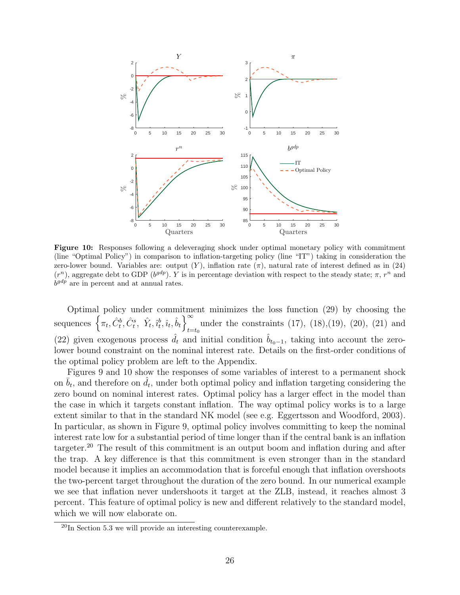

Figure 10: Responses following a deleveraging shock under optimal monetary policy with commitment (line "Optimal Policy") in comparison to inflation-targeting policy (line "IT") taking in consideration the zero-lower bound. Variables are: output  $(Y)$ , inflation rate  $(\pi)$ , natural rate of interest defined as in (24)  $(r^n)$ , aggregate debt to GDP ( $b^{gdp}$ ). Y is in percentage deviation with respect to the steady state;  $\pi$ ,  $r^n$  and  $b^{gdp}$  are in percent and at annual rates.

Optimal policy under commitment minimizes the loss function (29) by choosing the sequences  $\left\{ \pi_t, \hat{C}_t^b, \hat{C}_t^s, \hat{Y}_t, \hat{i}_t^b, \hat{i}_t, \hat{b}_t \right\}^{\infty}$  $t = t_0$ under the constraints  $(17)$ ,  $(18)$ ,  $(19)$ ,  $(20)$ ,  $(21)$  and (22) given exogenous process  $\hat{d}_t$  and initial condition  $\hat{b}_{t_0-1}$ , taking into account the zerolower bound constraint on the nominal interest rate. Details on the first-order conditions of the optimal policy problem are left to the Appendix.

Figures 9 and 10 show the responses of some variables of interest to a permanent shock on  $\bar{b}_t$ , and therefore on  $\hat{d}_t$ , under both optimal policy and inflation targeting considering the zero bound on nominal interest rates. Optimal policy has a larger effect in the model than the case in which it targets constant inflation. The way optimal policy works is to a large extent similar to that in the standard NK model (see e.g. Eggertsson and Woodford, 2003). In particular, as shown in Figure 9, optimal policy involves committing to keep the nominal interest rate low for a substantial period of time longer than if the central bank is an inflation targeter.<sup>20</sup> The result of this commitment is an output boom and inflation during and after the trap. A key difference is that this commitment is even stronger than in the standard model because it implies an accommodation that is forceful enough that inflation overshoots the two-percent target throughout the duration of the zero bound. In our numerical example we see that inflation never undershoots it target at the ZLB, instead, it reaches almost 3 percent. This feature of optimal policy is new and different relatively to the standard model, which we will now elaborate on.

 $^{20}$ In Section 5.3 we will provide an interesting counterexample.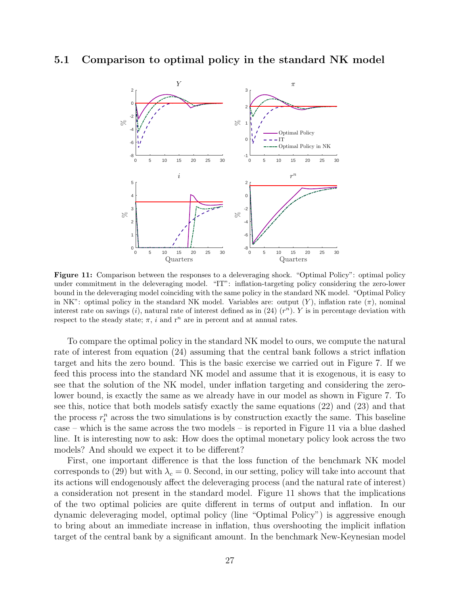#### 5.1 Comparison to optimal policy in the standard NK model



Figure 11: Comparison between the responses to a deleveraging shock. "Optimal Policy": optimal policy under commitment in the deleveraging model. "IT": inflation-targeting policy considering the zero-lower bound in the deleveraging model coinciding with the same policy in the standard NK model. "Optimal Policy in NK": optimal policy in the standard NK model. Variables are: output  $(Y)$ , inflation rate  $(\pi)$ , nominal interest rate on savings  $(i)$ , natural rate of interest defined as in  $(24)$   $(r<sup>n</sup>)$ . Y is in percentage deviation with respect to the steady state;  $\pi$ , i and r<sup>n</sup> are in percent and at annual rates.

To compare the optimal policy in the standard NK model to ours, we compute the natural rate of interest from equation (24) assuming that the central bank follows a strict inflation target and hits the zero bound. This is the basic exercise we carried out in Figure 7. If we feed this process into the standard NK model and assume that it is exogenous, it is easy to see that the solution of the NK model, under inflation targeting and considering the zerolower bound, is exactly the same as we already have in our model as shown in Figure 7. To see this, notice that both models satisfy exactly the same equations (22) and (23) and that the process  $r_t^n$  across the two simulations is by construction exactly the same. This baseline case – which is the same across the two models – is reported in Figure 11 via a blue dashed line. It is interesting now to ask: How does the optimal monetary policy look across the two models? And should we expect it to be different?

First, one important difference is that the loss function of the benchmark NK model corresponds to (29) but with  $\lambda_c = 0$ . Second, in our setting, policy will take into account that its actions will endogenously affect the deleveraging process (and the natural rate of interest) a consideration not present in the standard model. Figure 11 shows that the implications of the two optimal policies are quite different in terms of output and inflation. In our dynamic deleveraging model, optimal policy (line "Optimal Policy") is aggressive enough to bring about an immediate increase in inflation, thus overshooting the implicit inflation target of the central bank by a significant amount. In the benchmark New-Keynesian model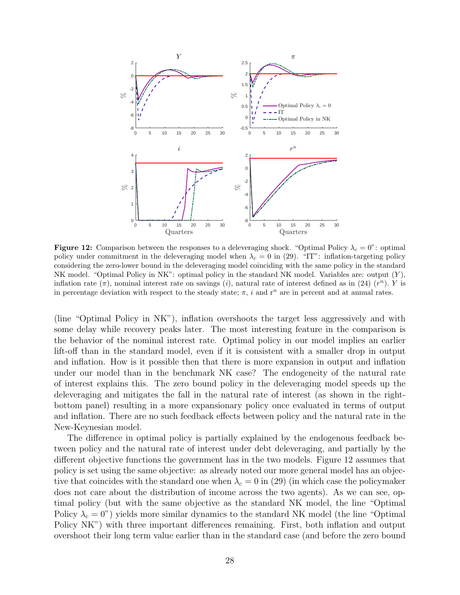

**Figure 12:** Comparison between the responses to a deleveraging shock. "Optimal Policy  $\lambda_c = 0$ ": optimal policy under commitment in the deleveraging model when  $\lambda_c = 0$  in (29). "IT": inflation-targeting policy considering the zero-lower bound in the deleveraging model coinciding with the same policy in the standard NK model. "Optimal Policy in NK": optimal policy in the standard NK model. Variables are: output (Y ), inflation rate  $(\pi)$ , nominal interest rate on savings (i), natural rate of interest defined as in (24)  $(r^n)$ . Y is in percentage deviation with respect to the steady state;  $\pi$ , i and r<sup>n</sup> are in percent and at annual rates.

(line "Optimal Policy in NK"), inflation overshoots the target less aggressively and with some delay while recovery peaks later. The most interesting feature in the comparison is the behavior of the nominal interest rate. Optimal policy in our model implies an earlier lift-off than in the standard model, even if it is consistent with a smaller drop in output and inflation. How is it possible then that there is more expansion in output and inflation under our model than in the benchmark NK case? The endogeneity of the natural rate of interest explains this. The zero bound policy in the deleveraging model speeds up the deleveraging and mitigates the fall in the natural rate of interest (as shown in the rightbottom panel) resulting in a more expansionary policy once evaluated in terms of output and inflation. There are no such feedback effects between policy and the natural rate in the New-Keynesian model.

The difference in optimal policy is partially explained by the endogenous feedback between policy and the natural rate of interest under debt deleveraging, and partially by the different objective functions the government has in the two models. Figure 12 assumes that policy is set using the same objective: as already noted our more general model has an objective that coincides with the standard one when  $\lambda_c = 0$  in (29) (in which case the policymaker does not care about the distribution of income across the two agents). As we can see, optimal policy (but with the same objective as the standard NK model, the line "Optimal Policy  $\lambda_c = 0$ ") yields more similar dynamics to the standard NK model (the line "Optimal") Policy NK") with three important differences remaining. First, both inflation and output overshoot their long term value earlier than in the standard case (and before the zero bound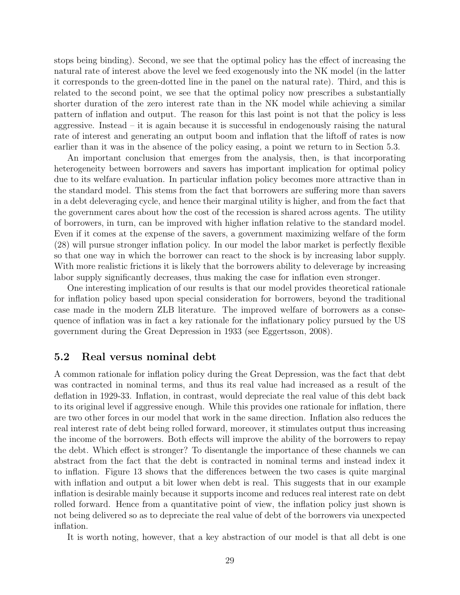stops being binding). Second, we see that the optimal policy has the effect of increasing the natural rate of interest above the level we feed exogenously into the NK model (in the latter it corresponds to the green-dotted line in the panel on the natural rate). Third, and this is related to the second point, we see that the optimal policy now prescribes a substantially shorter duration of the zero interest rate than in the NK model while achieving a similar pattern of inflation and output. The reason for this last point is not that the policy is less aggressive. Instead – it is again because it is successful in endogenously raising the natural rate of interest and generating an output boom and inflation that the liftoff of rates is now earlier than it was in the absence of the policy easing, a point we return to in Section 5.3.

An important conclusion that emerges from the analysis, then, is that incorporating heterogeneity between borrowers and savers has important implication for optimal policy due to its welfare evaluation. In particular inflation policy becomes more attractive than in the standard model. This stems from the fact that borrowers are suffering more than savers in a debt deleveraging cycle, and hence their marginal utility is higher, and from the fact that the government cares about how the cost of the recession is shared across agents. The utility of borrowers, in turn, can be improved with higher inflation relative to the standard model. Even if it comes at the expense of the savers, a government maximizing welfare of the form (28) will pursue stronger inflation policy. In our model the labor market is perfectly flexible so that one way in which the borrower can react to the shock is by increasing labor supply. With more realistic frictions it is likely that the borrowers ability to deleverage by increasing labor supply significantly decreases, thus making the case for inflation even stronger.

One interesting implication of our results is that our model provides theoretical rationale for inflation policy based upon special consideration for borrowers, beyond the traditional case made in the modern ZLB literature. The improved welfare of borrowers as a consequence of inflation was in fact a key rationale for the inflationary policy pursued by the US government during the Great Depression in 1933 (see Eggertsson, 2008).

#### 5.2 Real versus nominal debt

A common rationale for inflation policy during the Great Depression, was the fact that debt was contracted in nominal terms, and thus its real value had increased as a result of the deflation in 1929-33. Inflation, in contrast, would depreciate the real value of this debt back to its original level if aggressive enough. While this provides one rationale for inflation, there are two other forces in our model that work in the same direction. Inflation also reduces the real interest rate of debt being rolled forward, moreover, it stimulates output thus increasing the income of the borrowers. Both effects will improve the ability of the borrowers to repay the debt. Which effect is stronger? To disentangle the importance of these channels we can abstract from the fact that the debt is contracted in nominal terms and instead index it to inflation. Figure 13 shows that the differences between the two cases is quite marginal with inflation and output a bit lower when debt is real. This suggests that in our example inflation is desirable mainly because it supports income and reduces real interest rate on debt rolled forward. Hence from a quantitative point of view, the inflation policy just shown is not being delivered so as to depreciate the real value of debt of the borrowers via unexpected inflation.

It is worth noting, however, that a key abstraction of our model is that all debt is one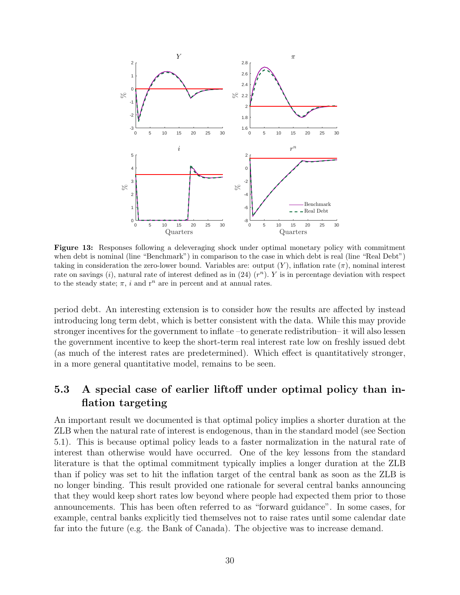

Figure 13: Responses following a deleveraging shock under optimal monetary policy with commitment when debt is nominal (line "Benchmark") in comparison to the case in which debt is real (line "Real Debt") taking in consideration the zero-lower bound. Variables are: output  $(Y)$ , inflation rate  $(\pi)$ , nominal interest rate on savings  $(i)$ , natural rate of interest defined as in  $(24)$   $(r<sup>n</sup>)$ . Y is in percentage deviation with respect to the steady state;  $\pi$ , i and r<sup>n</sup> are in percent and at annual rates.

period debt. An interesting extension is to consider how the results are affected by instead introducing long term debt, which is better consistent with the data. While this may provide stronger incentives for the government to inflate –to generate redistribution– it will also lessen the government incentive to keep the short-term real interest rate low on freshly issued debt (as much of the interest rates are predetermined). Which effect is quantitatively stronger, in a more general quantitative model, remains to be seen.

### 5.3 A special case of earlier liftoff under optimal policy than inflation targeting

An important result we documented is that optimal policy implies a shorter duration at the ZLB when the natural rate of interest is endogenous, than in the standard model (see Section 5.1). This is because optimal policy leads to a faster normalization in the natural rate of interest than otherwise would have occurred. One of the key lessons from the standard literature is that the optimal commitment typically implies a longer duration at the ZLB than if policy was set to hit the inflation target of the central bank as soon as the ZLB is no longer binding. This result provided one rationale for several central banks announcing that they would keep short rates low beyond where people had expected them prior to those announcements. This has been often referred to as "forward guidance". In some cases, for example, central banks explicitly tied themselves not to raise rates until some calendar date far into the future (e.g. the Bank of Canada). The objective was to increase demand.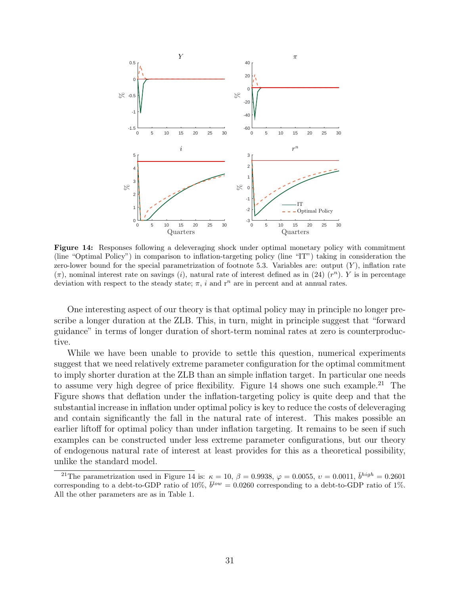

Figure 14: Responses following a deleveraging shock under optimal monetary policy with commitment (line "Optimal Policy") in comparison to inflation-targeting policy (line "IT") taking in consideration the zero-lower bound for the special parametrization of footnote 5.3. Variables are: output  $(Y)$ , inflation rate  $(\pi)$ , nominal interest rate on savings (i), natural rate of interest defined as in (24)  $(r^n)$ . Y is in percentage deviation with respect to the steady state;  $\pi$ , i and r<sup>n</sup> are in percent and at annual rates.

One interesting aspect of our theory is that optimal policy may in principle no longer prescribe a longer duration at the ZLB. This, in turn, might in principle suggest that "forward guidance" in terms of longer duration of short-term nominal rates at zero is counterproductive.

While we have been unable to provide to settle this question, numerical experiments suggest that we need relatively extreme parameter configuration for the optimal commitment to imply shorter duration at the ZLB than an simple inflation target. In particular one needs to assume very high degree of price flexibility. Figure  $14$  shows one such example.<sup>21</sup> The Figure shows that deflation under the inflation-targeting policy is quite deep and that the substantial increase in inflation under optimal policy is key to reduce the costs of deleveraging and contain significantly the fall in the natural rate of interest. This makes possible an earlier liftoff for optimal policy than under inflation targeting. It remains to be seen if such examples can be constructed under less extreme parameter configurations, but our theory of endogenous natural rate of interest at least provides for this as a theoretical possibility, unlike the standard model.

<sup>&</sup>lt;sup>21</sup>The parametrization used in Figure 14 is:  $\kappa = 10, \beta = 0.9938, \varphi = 0.0055, \upsilon = 0.0011, \bar{b}^{high} = 0.2601$ corresponding to a debt-to-GDP ratio of 10%,  $\bar{b}^{low} = 0.0260$  corresponding to a debt-to-GDP ratio of 1%. All the other parameters are as in Table 1.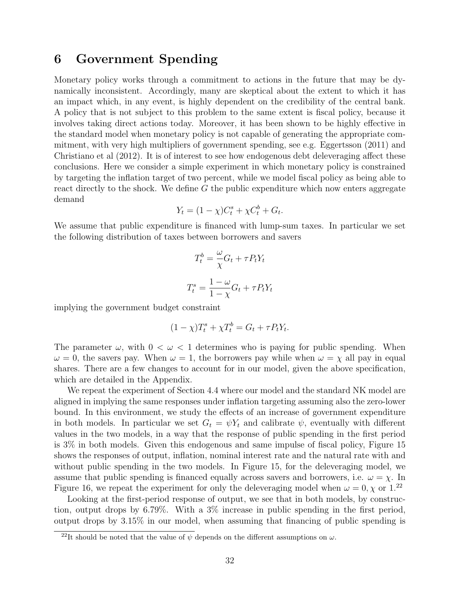### 6 Government Spending

Monetary policy works through a commitment to actions in the future that may be dynamically inconsistent. Accordingly, many are skeptical about the extent to which it has an impact which, in any event, is highly dependent on the credibility of the central bank. A policy that is not subject to this problem to the same extent is fiscal policy, because it involves taking direct actions today. Moreover, it has been shown to be highly effective in the standard model when monetary policy is not capable of generating the appropriate commitment, with very high multipliers of government spending, see e.g. Eggertsson (2011) and Christiano et al (2012). It is of interest to see how endogenous debt deleveraging affect these conclusions. Here we consider a simple experiment in which monetary policy is constrained by targeting the inflation target of two percent, while we model fiscal policy as being able to react directly to the shock. We define G the public expenditure which now enters aggregate demand

$$
Y_t = (1 - \chi)C_t^s + \chi C_t^b + G_t.
$$

We assume that public expenditure is financed with lump-sum taxes. In particular we set the following distribution of taxes between borrowers and savers

$$
T_t^b = \frac{\omega}{\chi} G_t + \tau P_t Y_t
$$

$$
T_t^s = \frac{1 - \omega}{1 - \chi} G_t + \tau P_t Y_t
$$

implying the government budget constraint

$$
(1 - \chi)T_t^s + \chi T_t^b = G_t + \tau P_t Y_t.
$$

The parameter  $\omega$ , with  $0 < \omega < 1$  determines who is paying for public spending. When  $\omega = 0$ , the savers pay. When  $\omega = 1$ , the borrowers pay while when  $\omega = \chi$  all pay in equal shares. There are a few changes to account for in our model, given the above specification, which are detailed in the Appendix.

We repeat the experiment of Section 4.4 where our model and the standard NK model are aligned in implying the same responses under inflation targeting assuming also the zero-lower bound. In this environment, we study the effects of an increase of government expenditure in both models. In particular we set  $G_t = \psi Y_t$  and calibrate  $\psi$ , eventually with different values in the two models, in a way that the response of public spending in the first period is 3% in both models. Given this endogenous and same impulse of fiscal policy, Figure 15 shows the responses of output, inflation, nominal interest rate and the natural rate with and without public spending in the two models. In Figure 15, for the deleveraging model, we assume that public spending is financed equally across savers and borrowers, i.e.  $\omega = \chi$ . In Figure 16, we repeat the experiment for only the deleveraging model when  $\omega = 0, \chi$  or 1.<sup>22</sup>

Looking at the first-period response of output, we see that in both models, by construction, output drops by 6.79%. With a 3% increase in public spending in the first period, output drops by 3.15% in our model, when assuming that financing of public spending is

<sup>&</sup>lt;sup>22</sup>It should be noted that the value of  $\psi$  depends on the different assumptions on  $\omega$ .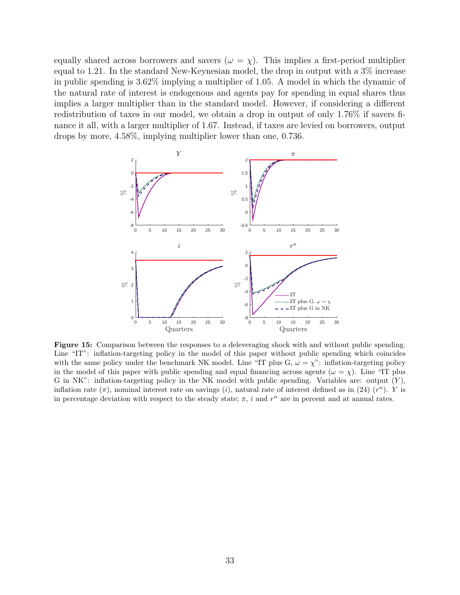equally shared across borrowers and savers ( $\omega = \chi$ ). This implies a first-period multiplier equal to 1.21. In the standard New-Keynesian model, the drop in output with a 3% increase in public spending is 3.62% implying a multiplier of 1.05. A model in which the dynamic of the natural rate of interest is endogenous and agents pay for spending in equal shares thus implies a larger multiplier than in the standard model. However, if considering a different redistribution of taxes in our model, we obtain a drop in output of only 1.76% if savers finance it all, with a larger multiplier of 1.67. Instead, if taxes are levied on borrowers, output drops by more, 4.58%, implying multiplier lower than one, 0.736.



Figure 15: Comparison between the responses to a deleveraging shock with and without public spending. Line "IT": inflation-targeting policy in the model of this paper without public spending which coincides with the same policy under the benchmark NK model. Line "IT plus G,  $\omega = \chi$ ": inflation-targeting policy in the model of this paper with public spending and equal financing across agents ( $\omega = \chi$ ). Line "IT plus G in NK": inflation-targeting policy in the NK model with public spending. Variables are: output  $(Y)$ , inflation rate  $(\pi)$ , nominal interest rate on savings (i), natural rate of interest defined as in (24)  $(r^n)$ . Y is in percentage deviation with respect to the steady state;  $\pi$ , i and  $r^n$  are in percent and at annual rates.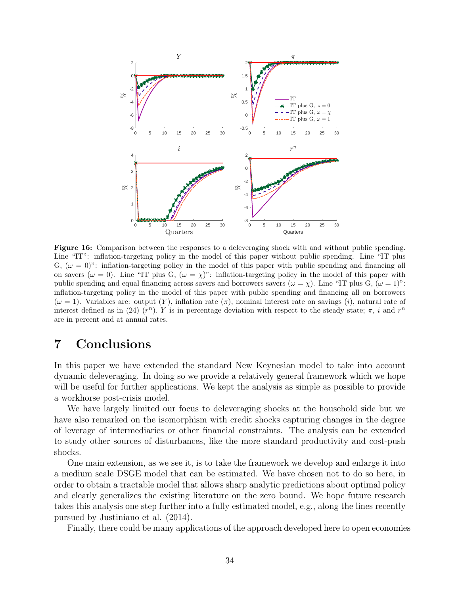

Figure 16: Comparison between the responses to a deleveraging shock with and without public spending. Line "IT": inflation-targeting policy in the model of this paper without public spending. Line "IT plus G,  $(\omega = 0)$ ": inflation-targeting policy in the model of this paper with public spending and financing all on savers ( $\omega = 0$ ). Line "IT plus G,  $(\omega = \chi)$ ": inflation-targeting policy in the model of this paper with public spending and equal financing across savers and borrowers savers  $(\omega = \chi)$ . Line "IT plus G,  $(\omega = 1)$ ": inflation-targeting policy in the model of this paper with public spending and financing all on borrowers  $(\omega = 1)$ . Variables are: output  $(Y)$ , inflation rate  $(\pi)$ , nominal interest rate on savings  $(i)$ , natural rate of interest defined as in (24)  $(r^n)$ . Y is in percentage deviation with respect to the steady state;  $\pi$ , i and  $r^n$ are in percent and at annual rates.

### 7 Conclusions

In this paper we have extended the standard New Keynesian model to take into account dynamic deleveraging. In doing so we provide a relatively general framework which we hope will be useful for further applications. We kept the analysis as simple as possible to provide a workhorse post-crisis model.

We have largely limited our focus to deleveraging shocks at the household side but we have also remarked on the isomorphism with credit shocks capturing changes in the degree of leverage of intermediaries or other financial constraints. The analysis can be extended to study other sources of disturbances, like the more standard productivity and cost-push shocks.

One main extension, as we see it, is to take the framework we develop and enlarge it into a medium scale DSGE model that can be estimated. We have chosen not to do so here, in order to obtain a tractable model that allows sharp analytic predictions about optimal policy and clearly generalizes the existing literature on the zero bound. We hope future research takes this analysis one step further into a fully estimated model, e.g., along the lines recently pursued by Justiniano et al. (2014).

Finally, there could be many applications of the approach developed here to open economies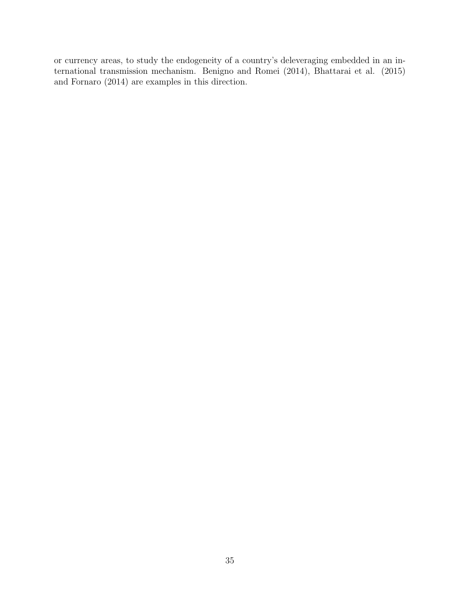or currency areas, to study the endogeneity of a country's deleveraging embedded in an international transmission mechanism. Benigno and Romei (2014), Bhattarai et al. (2015) and Fornaro (2014) are examples in this direction.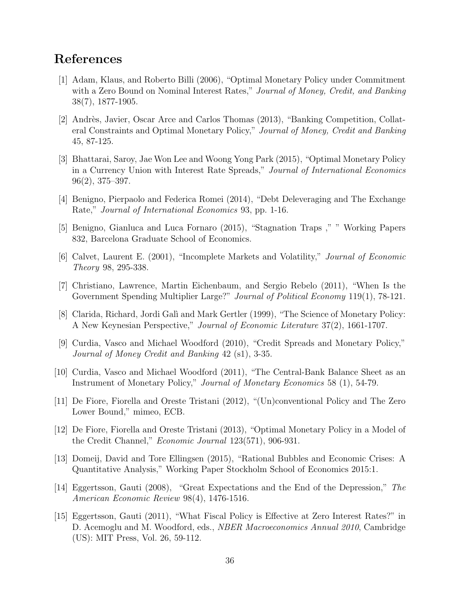### References

- [1] Adam, Klaus, and Roberto Billi (2006), "Optimal Monetary Policy under Commitment with a Zero Bound on Nominal Interest Rates," Journal of Money, Credit, and Banking 38(7), 1877-1905.
- [2] Andrès, Javier, Oscar Arce and Carlos Thomas (2013), "Banking Competition, Collateral Constraints and Optimal Monetary Policy," Journal of Money, Credit and Banking 45, 87-125.
- [3] Bhattarai, Saroy, Jae Won Lee and Woong Yong Park (2015), "Optimal Monetary Policy in a Currency Union with Interest Rate Spreads," Journal of International Economics 96(2), 375–397.
- [4] Benigno, Pierpaolo and Federica Romei (2014), "Debt Deleveraging and The Exchange Rate," Journal of International Economics 93, pp. 1-16.
- [5] Benigno, Gianluca and Luca Fornaro (2015), "Stagnation Traps ," " Working Papers 832, Barcelona Graduate School of Economics.
- [6] Calvet, Laurent E. (2001), "Incomplete Markets and Volatility," Journal of Economic Theory 98, 295-338.
- [7] Christiano, Lawrence, Martin Eichenbaum, and Sergio Rebelo (2011), "When Is the Government Spending Multiplier Large?" *Journal of Political Economy* 119(1), 78-121.
- [8] Clarida, Richard, Jordi Galì and Mark Gertler (1999), "The Science of Monetary Policy: A New Keynesian Perspective," Journal of Economic Literature 37(2), 1661-1707.
- [9] Curdia, Vasco and Michael Woodford (2010), "Credit Spreads and Monetary Policy," Journal of Money Credit and Banking 42 (s1), 3-35.
- [10] Curdia, Vasco and Michael Woodford (2011), "The Central-Bank Balance Sheet as an Instrument of Monetary Policy," Journal of Monetary Economics 58 (1), 54-79.
- [11] De Fiore, Fiorella and Oreste Tristani (2012), "(Un)conventional Policy and The Zero Lower Bound," mimeo, ECB.
- [12] De Fiore, Fiorella and Oreste Tristani (2013), "Optimal Monetary Policy in a Model of the Credit Channel," Economic Journal 123(571), 906-931.
- [13] Domeij, David and Tore Ellingsen (2015), "Rational Bubbles and Economic Crises: A Quantitative Analysis," Working Paper Stockholm School of Economics 2015:1.
- [14] Eggertsson, Gauti (2008), "Great Expectations and the End of the Depression," The American Economic Review 98(4), 1476-1516.
- [15] Eggertsson, Gauti (2011), "What Fiscal Policy is Effective at Zero Interest Rates?" in D. Acemoglu and M. Woodford, eds., *NBER Macroeconomics Annual 2010*, Cambridge (US): MIT Press, Vol. 26, 59-112.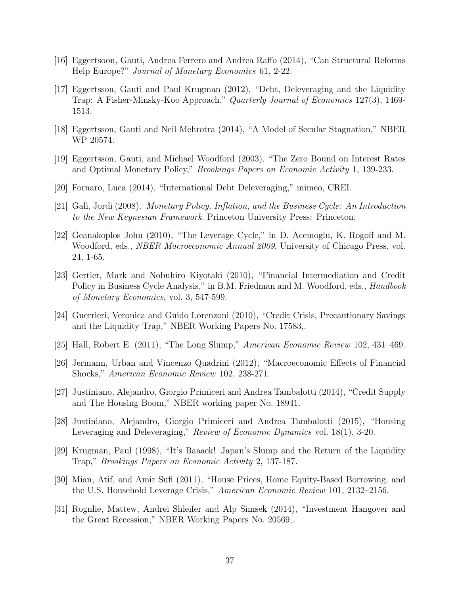- [16] Eggertsoon, Gauti, Andrea Ferrero and Andrea Raffo (2014), "Can Structural Reforms Help Europe?" Journal of Monetary Economics 61, 2-22.
- [17] Eggertsson, Gauti and Paul Krugman (2012), "Debt, Deleveraging and the Liquidity Trap: A Fisher-Minsky-Koo Approach," Quarterly Journal of Economics 127(3), 1469- 1513.
- [18] Eggertsson, Gauti and Neil Mehrotra (2014), "A Model of Secular Stagnation," NBER WP 20574.
- [19] Eggertsson, Gauti, and Michael Woodford (2003), "The Zero Bound on Interest Rates and Optimal Monetary Policy," Brookings Papers on Economic Activity 1, 139-233.
- [20] Fornaro, Luca (2014), "International Debt Deleveraging," mimeo, CREI.
- [21] Galì, Jordi (2008). Monetary Policy, Inflation, and the Business Cycle: An Introduction to the New Keynesian Framework. Princeton University Press: Princeton.
- [22] Geanakoplos John (2010), "The Leverage Cycle," in D. Acemoglu, K. Rogoff and M. Woodford, eds., NBER Macroeconomic Annual 2009, University of Chicago Press, vol. 24, 1-65.
- [23] Gertler, Mark and Nobuhiro Kiyotaki (2010), "Financial Intermediation and Credit Policy in Business Cycle Analysis," in B.M. Friedman and M. Woodford, eds., *Handbook* of Monetary Economics, vol. 3, 547-599.
- [24] Guerrieri, Veronica and Guido Lorenzoni (2010), "Credit Crisis, Precautionary Savings and the Liquidity Trap," NBER Working Papers No. 17583,.
- [25] Hall, Robert E. (2011), "The Long Slump," American Economic Review 102, 431–469.
- [26] Jermann, Urban and Vincenzo Quadrini (2012), "Macroeconomic Effects of Financial Shocks," American Economic Review 102, 238-271.
- [27] Justiniano, Alejandro, Giorgio Primiceri and Andrea Tambalotti (2014), "Credit Supply and The Housing Boom," NBER working paper No. 18941.
- [28] Justiniano, Alejandro, Giorgio Primiceri and Andrea Tambalotti (2015), "Housing Leveraging and Deleveraging," Review of Economic Dynamics vol. 18(1), 3-20.
- [29] Krugman, Paul (1998), "It's Baaack! Japan's Slump and the Return of the Liquidity Trap," Brookings Papers on Economic Activity 2, 137-187.
- [30] Mian, Atif, and Amir Sufi (2011), "House Prices, Home Equity-Based Borrowing, and the U.S. Household Leverage Crisis," American Economic Review 101, 2132–2156.
- [31] Rognlie, Mattew, Andrei Shleifer and Alp Simsek (2014), "Investment Hangover and the Great Recession," NBER Working Papers No. 20569,.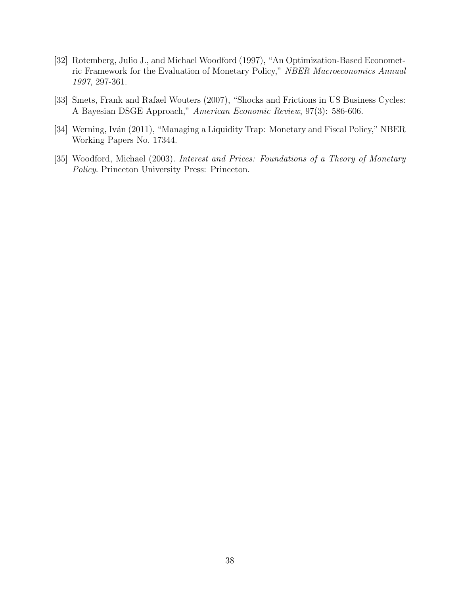- [32] Rotemberg, Julio J., and Michael Woodford (1997), "An Optimization-Based Econometric Framework for the Evaluation of Monetary Policy," NBER Macroeconomics Annual 1997, 297-361.
- [33] Smets, Frank and Rafael Wouters (2007), "Shocks and Frictions in US Business Cycles: A Bayesian DSGE Approach," American Economic Review, 97(3): 586-606.
- [34] Werning, Iván (2011), "Managing a Liquidity Trap: Monetary and Fiscal Policy," NBER Working Papers No. 17344.
- [35] Woodford, Michael (2003). Interest and Prices: Foundations of a Theory of Monetary Policy. Princeton University Press: Princeton.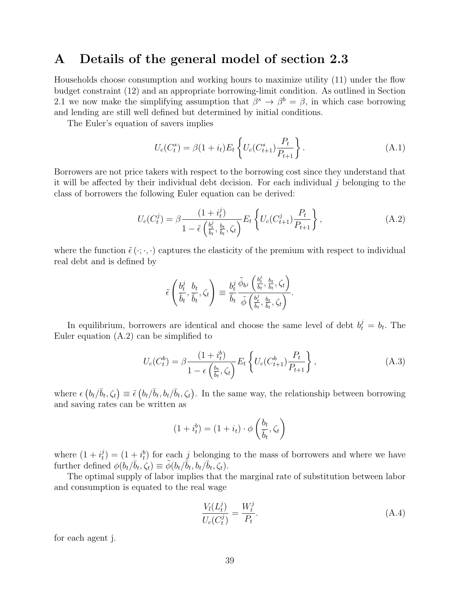### A Details of the general model of section 2.3

Households choose consumption and working hours to maximize utility (11) under the flow budget constraint (12) and an appropriate borrowing-limit condition. As outlined in Section 2.1 we now make the simplifying assumption that  $\beta^s \to \beta^b = \beta$ , in which case borrowing and lending are still well defined but determined by initial conditions.

The Euler's equation of savers implies

$$
U_c(C_t^s) = \beta(1 + i_t)E_t \left\{ U_c(C_{t+1}^s) \frac{P_t}{P_{t+1}} \right\}.
$$
 (A.1)

Borrowers are not price takers with respect to the borrowing cost since they understand that it will be affected by their individual debt decision. For each individual  $j$  belonging to the class of borrowers the following Euler equation can be derived:

$$
U_c(C_t^j) = \beta \frac{(1+i_t^j)}{1 - \tilde{\epsilon} \left(\frac{b_t^j}{b_t}, \frac{b_t}{b_t}, \zeta_t\right)} E_t \left\{ U_c(C_{t+1}^j) \frac{P_t}{P_{t+1}} \right\},\tag{A.2}
$$

where the function  $\tilde{\epsilon}(\cdot;\cdot,\cdot)$  captures the elasticity of the premium with respect to individual real debt and is defined by

$$
\tilde{\epsilon}\left(\frac{b_t^j}{\overline{b}_t},\frac{b_t}{\overline{b}_t},\zeta_t\right) \equiv \frac{b_t^j}{\overline{b}_t}\frac{\tilde{\phi}_{b^j}\left(\frac{b_t^j}{\overline{b}_t},\frac{b_t}{\overline{b}_t},\zeta_t\right)}{\tilde{\phi}\left(\frac{b_t^j}{\overline{b}_t},\frac{b_t}{\overline{b}_t},\zeta_t\right)}.
$$

In equilibrium, borrowers are identical and choose the same level of debt  $b_t^j = b_t$ . The Euler equation (A.2) can be simplified to

$$
U_c(C_t^b) = \beta \frac{(1 + i_t^b)}{1 - \epsilon \left(\frac{b_t}{b_t}, \zeta_t\right)} E_t \left\{ U_c(C_{t+1}^b) \frac{P_t}{P_{t+1}} \right\},\tag{A.3}
$$

where  $\epsilon(b_t/\bar{b}_t, \zeta_t) \equiv \tilde{\epsilon}(b_t/\bar{b}_t, b_t/\bar{b}_t, \zeta_t)$ . In the same way, the relationship between borrowing and saving rates can be written as

$$
(1 + i_t^b) = (1 + i_t) \cdot \phi\left(\frac{b_t}{\overline{b}_t}, \zeta_t\right)
$$

where  $(1+i_t^j)$  $(t_i^j) = (1 + t_i^b)$  for each j belonging to the mass of borrowers and where we have further defined  $\phi(b_t/\bar{b}_t, \zeta_t) \equiv \tilde{\phi}(b_t/\bar{b}_t, b_t/\bar{b}_t, \zeta_t)$ .

The optimal supply of labor implies that the marginal rate of substitution between labor and consumption is equated to the real wage

$$
\frac{V_l(L_t^j)}{U_c(C_t^j)} = \frac{W_t^j}{P_t}.
$$
\n(A.4)

for each agent j.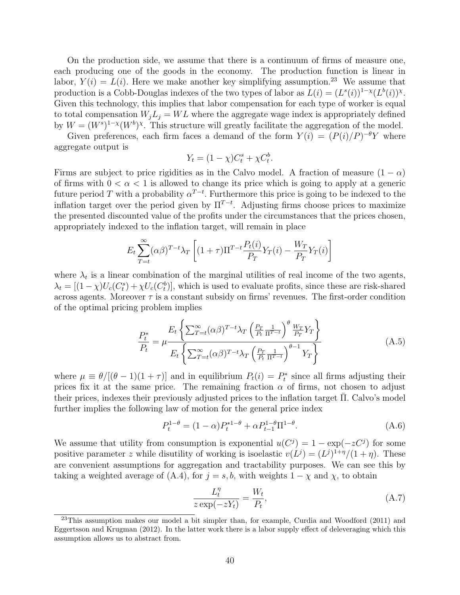On the production side, we assume that there is a continuum of firms of measure one, each producing one of the goods in the economy. The production function is linear in labor,  $Y(i) = L(i)$ . Here we make another key simplifying assumption.<sup>23</sup> We assume that production is a Cobb-Douglas indexes of the two types of labor as  $L(i) = (L<sup>s</sup>(i))^{1-\chi}(L<sup>b</sup>(i))^{\chi}$ . Given this technology, this implies that labor compensation for each type of worker is equal to total compensation  $W_jL_j = WL$  where the aggregate wage index is appropriately defined by  $W = (W^s)^{1-\chi}(W^b)^{\chi}$ . This structure will greatly facilitate the aggregation of the model.

Given preferences, each firm faces a demand of the form  $Y(i) = (P(i)/P)^{-\theta}Y$  where aggregate output is

$$
Y_t = (1 - \chi)C_t^s + \chi C_t^b.
$$

Firms are subject to price rigidities as in the Calvo model. A fraction of measure  $(1 - \alpha)$ of firms with  $0 < \alpha < 1$  is allowed to change its price which is going to apply at a generic future period T with a probability  $\alpha^{T-t}$ . Furthermore this price is going to be indexed to the inflation target over the period given by  $\Pi^{T-t}$ . Adjusting firms choose prices to maximize the presented discounted value of the profits under the circumstances that the prices chosen, appropriately indexed to the inflation target, will remain in place

$$
E_t \sum_{T=t}^{\infty} (\alpha \beta)^{T-t} \lambda_T \left[ (1+\tau) \Pi^{T-t} \frac{P_t(i)}{P_T} Y_T(i) - \frac{W_T}{P_T} Y_T(i) \right]
$$

where  $\lambda_t$  is a linear combination of the marginal utilities of real income of the two agents,  $\lambda_t = [(1 - \chi)U_c(C_t^s) + \chi U_c(C_t^b)]$ , which is used to evaluate profits, since these are risk-shared across agents. Moreover  $\tau$  is a constant subsidy on firms' revenues. The first-order condition of the optimal pricing problem implies

$$
\frac{P_t^*}{P_t} = \mu \frac{E_t \left\{ \sum_{T=t}^{\infty} (\alpha \beta)^{T-t} \lambda_T \left( \frac{P_T}{P_t} \frac{1}{\Pi^{T-t}} \right)^\theta \frac{W_T}{P_T} Y_T \right\}}{E_t \left\{ \sum_{T=t}^{\infty} (\alpha \beta)^{T-t} \lambda_T \left( \frac{P_T}{P_t} \frac{1}{\Pi^{T-t}} \right)^{\theta-1} Y_T \right\}}
$$
(A.5)

where  $\mu \equiv \theta/[(\theta - 1)(1 + \tau)]$  and in equilibrium  $P_t(i) = P_t^*$  since all firms adjusting their prices fix it at the same price. The remaining fraction  $\alpha$  of firms, not chosen to adjust their prices, indexes their previously adjusted prices to the inflation target Π. Calvo's model further implies the following law of motion for the general price index

$$
P_t^{1-\theta} = (1-\alpha)P_t^{*1-\theta} + \alpha P_{t-1}^{1-\theta} \Pi^{1-\theta}.
$$
 (A.6)

We assume that utility from consumption is exponential  $u(C^j) = 1 - \exp(-zC^j)$  for some positive parameter z while disutility of working is isoelastic  $v(L^j) = (L^j)^{1+\eta}/(1+\eta)$ . These are convenient assumptions for aggregation and tractability purposes. We can see this by taking a weighted average of (A.4), for  $j = s, b$ , with weights  $1 - \chi$  and  $\chi$ , to obtain

$$
\frac{L_t^{\eta}}{z \exp(-zY_t)} = \frac{W_t}{P_t},\tag{A.7}
$$

 $^{23}$ This assumption makes our model a bit simpler than, for example, Curdia and Woodford (2011) and Eggertsson and Krugman (2012). In the latter work there is a labor supply effect of deleveraging which this assumption allows us to abstract from.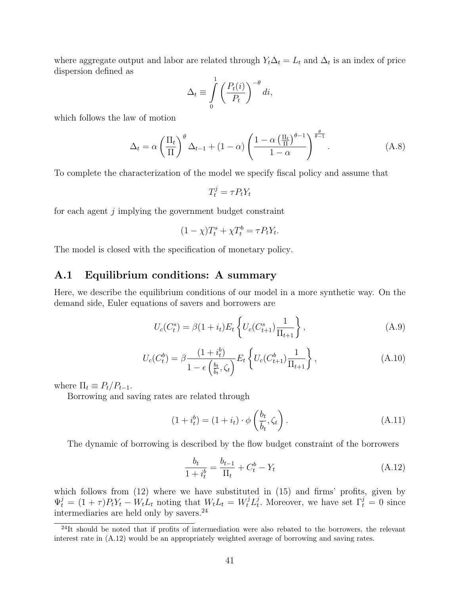where aggregate output and labor are related through  $Y_t \Delta_t = L_t$  and  $\Delta_t$  is an index of price dispersion defined as

$$
\Delta_t \equiv \int_0^1 \left( \frac{P_t(i)}{P_t} \right)^{-\theta} di,
$$

which follows the law of motion

$$
\Delta_t = \alpha \left(\frac{\Pi_t}{\Pi}\right)^{\theta} \Delta_{t-1} + (1-\alpha) \left(\frac{1-\alpha \left(\frac{\Pi_t}{\Pi}\right)^{\theta-1}}{1-\alpha}\right)^{\frac{\theta}{\theta-1}}.
$$
\n(A.8)

To complete the characterization of the model we specify fiscal policy and assume that

$$
T_t^j = \tau P_t Y_t
$$

for each agent j implying the government budget constraint

$$
(1 - \chi)T_t^s + \chi T_t^b = \tau P_t Y_t.
$$

The model is closed with the specification of monetary policy.

#### A.1 Equilibrium conditions: A summary

Here, we describe the equilibrium conditions of our model in a more synthetic way. On the demand side, Euler equations of savers and borrowers are

$$
U_c(C_t^s) = \beta(1 + i_t)E_t \left\{ U_c(C_{t+1}^s) \frac{1}{\Pi_{t+1}} \right\},
$$
\n(A.9)

$$
U_c(C_t^b) = \beta \frac{(1 + i_t^b)}{1 - \epsilon \left(\frac{b_t}{b_t}, \zeta_t\right)} E_t \left\{ U_c(C_{t+1}^b) \frac{1}{\Pi_{t+1}} \right\},\tag{A.10}
$$

where  $\Pi_t \equiv P_t/P_{t-1}$ .

Borrowing and saving rates are related through

$$
(1 + i_t^b) = (1 + i_t) \cdot \phi\left(\frac{b_t}{\overline{b}_t}, \zeta_t\right). \tag{A.11}
$$

The dynamic of borrowing is described by the flow budget constraint of the borrowers

$$
\frac{b_t}{1+i_t^b} = \frac{b_{t-1}}{\Pi_t} + C_t^b - Y_t
$$
\n(A.12)

which follows from  $(12)$  where we have substituted in  $(15)$  and firms' profits, given by  $\Psi_t^j = (1+\tau)P_tY_t - W_tL_t$  noting that  $W_tL_t = W_t^jL_t^j$ <sup>j</sup>. Moreover, we have set  $\Gamma_t^j = 0$  since intermediaries are held only by savers.<sup>24</sup>

 $^{24}$ It should be noted that if profits of intermediation were also rebated to the borrowers, the relevant interest rate in (A.12) would be an appropriately weighted average of borrowing and saving rates.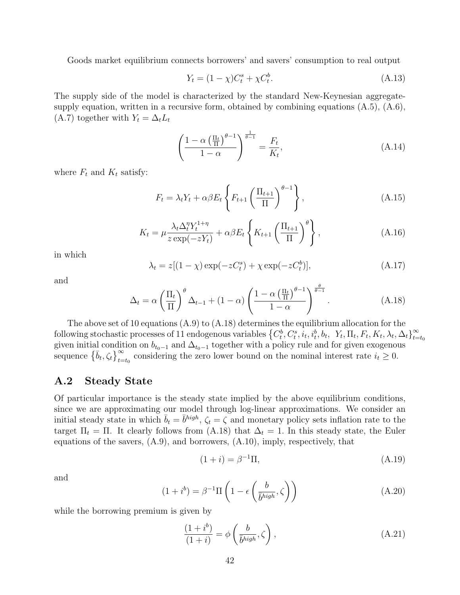Goods market equilibrium connects borrowers' and savers' consumption to real output

$$
Y_t = (1 - \chi)C_t^s + \chi C_t^b.
$$
\n(A.13)

The supply side of the model is characterized by the standard New-Keynesian aggregatesupply equation, written in a recursive form, obtained by combining equations (A.5), (A.6), (A.7) together with  $Y_t = \Delta_t L_t$ 

$$
\left(\frac{1-\alpha\left(\frac{\Pi_t}{\Pi}\right)^{\theta-1}}{1-\alpha}\right)^{\frac{1}{\theta-1}} = \frac{F_t}{K_t},\tag{A.14}
$$

where  $F_t$  and  $K_t$  satisfy:

$$
F_t = \lambda_t Y_t + \alpha \beta E_t \left\{ F_{t+1} \left( \frac{\Pi_{t+1}}{\Pi} \right)^{\theta - 1} \right\},\tag{A.15}
$$

$$
K_t = \mu \frac{\lambda_t \Delta_t^{\eta} Y_t^{1+\eta}}{z \exp(-zY_t)} + \alpha \beta E_t \left\{ K_{t+1} \left( \frac{\Pi_{t+1}}{\Pi} \right)^{\theta} \right\},\tag{A.16}
$$

in which

$$
\lambda_t = z[(1 - \chi)\exp(-zC_t^s) + \chi\exp(-zC_t^b)],\tag{A.17}
$$

and

$$
\Delta_t = \alpha \left(\frac{\Pi_t}{\Pi}\right)^{\theta} \Delta_{t-1} + (1 - \alpha) \left(\frac{1 - \alpha \left(\frac{\Pi_t}{\Pi}\right)^{\theta - 1}}{1 - \alpha}\right)^{\frac{\theta}{\theta - 1}}.
$$
\n(A.18)

The above set of 10 equations  $(A.9)$  to  $(A.18)$  determines the equilibrium allocation for the following stochastic processes of 11 endogenous variables  $\{C_t^b, C_t^s, i_t, i_t^b, b_t, Y_t, \Pi_t, F_t, K_t, \lambda_t, \Delta_t\}_{t=1}^{\infty}$  $t = t_0$ given initial condition on  $b_{t_0-1}$  and  $\Delta_{t_0-1}$  together with a policy rule and for given exogenous sequence  $\{\bar{b}_t, \zeta_t\}_{t=t_0}^{\infty}$  considering the zero lower bound on the nominal interest rate  $i_t \geq 0$ .

#### A.2 Steady State

Of particular importance is the steady state implied by the above equilibrium conditions, since we are approximating our model through log-linear approximations. We consider an initial steady state in which  $\bar{b}_t = \bar{b}^{high}$ ,  $\zeta_t = \bar{\zeta}$  and monetary policy sets inflation rate to the target  $\Pi_t = \Pi$ . It clearly follows from (A.18) that  $\Delta_t = 1$ . In this steady state, the Euler equations of the savers,  $(A.9)$ , and borrowers,  $(A.10)$ , imply, respectively, that

$$
(1+i) = \beta^{-1}\Pi,
$$
\n
$$
(A.19)
$$

and

$$
(1 + ib) = \beta^{-1} \Pi \left( 1 - \epsilon \left( \frac{b}{\bar{b}^{high}}, \zeta \right) \right)
$$
 (A.20)

while the borrowing premium is given by

$$
\frac{(1+i^b)}{(1+i)} = \phi\left(\frac{b}{\bar{b}^{high}}, \zeta\right),\tag{A.21}
$$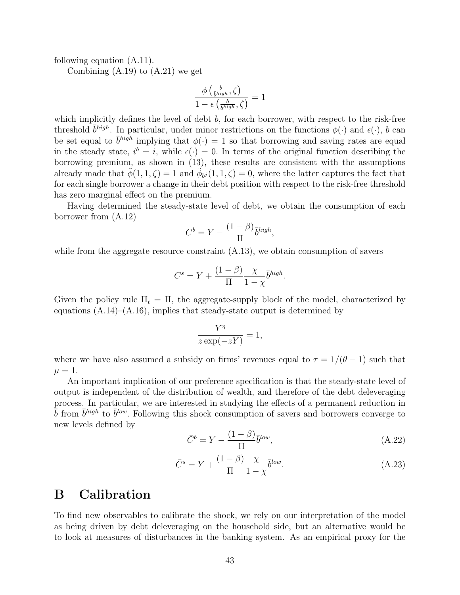following equation (A.11).

Combining  $(A.19)$  to  $(A.21)$  we get

$$
\frac{\phi\left(\frac{b}{b^{high}}, \zeta\right)}{1 - \epsilon\left(\frac{b}{b^{high}}, \zeta\right)} = 1
$$

which implicitly defines the level of debt  $b$ , for each borrower, with respect to the risk-free threshold  $\bar{b}^{high}$ . In particular, under minor restrictions on the functions  $\phi(\cdot)$  and  $\epsilon(\cdot)$ , b can be set equal to  $\bar{b}^{high}$  implying that  $\phi(\cdot) = 1$  so that borrowing and saving rates are equal in the steady state,  $i^b = i$ , while  $\epsilon(\cdot) = 0$ . In terms of the original function describing the borrowing premium, as shown in (13), these results are consistent with the assumptions already made that  $\tilde{\phi}(1,1,\zeta) = 1$  and  $\tilde{\phi}_{b,i}(1,1,\zeta) = 0$ , where the latter captures the fact that for each single borrower a change in their debt position with respect to the risk-free threshold has zero marginal effect on the premium.

Having determined the steady-state level of debt, we obtain the consumption of each borrower from (A.12)

$$
C^b = Y - \frac{(1 - \beta)}{\Pi} \bar{b}^{high},
$$

while from the aggregate resource constraint  $(A.13)$ , we obtain consumption of savers

$$
C^{s} = Y + \frac{(1 - \beta)}{\Pi} \frac{\chi}{1 - \chi} \overline{b}^{high}.
$$

Given the policy rule  $\Pi_t = \Pi$ , the aggregate-supply block of the model, characterized by equations  $(A.14)$ – $(A.16)$ , implies that steady-state output is determined by

$$
\frac{Y^{\eta}}{z \exp(-zY)} = 1,
$$

where we have also assumed a subsidy on firms' revenues equal to  $\tau = 1/(\theta - 1)$  such that  $\mu = 1.$ 

An important implication of our preference specification is that the steady-state level of output is independent of the distribution of wealth, and therefore of the debt deleveraging process. In particular, we are interested in studying the effects of a permanent reduction in  $\bar{b}$  from  $\bar{b}^{high}$  to  $\bar{b}^{low}$ . Following this shock consumption of savers and borrowers converge to new levels defined by

$$
\bar{C}^b = Y - \frac{(1-\beta)}{\Pi} \bar{b}^{low},\tag{A.22}
$$

$$
\bar{C}^s = Y + \frac{(1-\beta)}{\Pi} \frac{\chi}{1-\chi} \bar{b}^{low}.
$$
\n(A.23)

### B Calibration

To find new observables to calibrate the shock, we rely on our interpretation of the model as being driven by debt deleveraging on the household side, but an alternative would be to look at measures of disturbances in the banking system. As an empirical proxy for the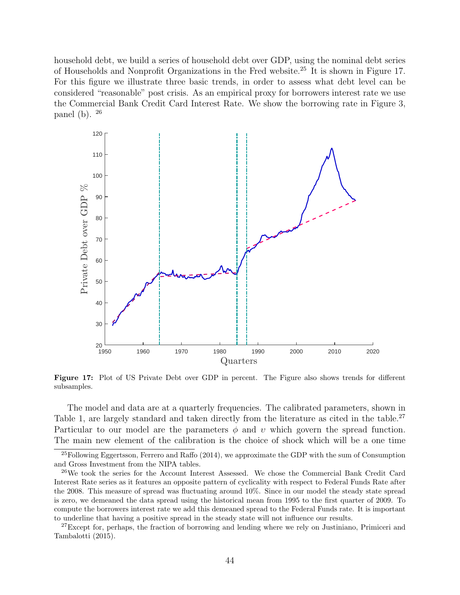household debt, we build a series of household debt over GDP, using the nominal debt series of Households and Nonprofit Organizations in the Fred website.<sup>25</sup> It is shown in Figure 17. For this figure we illustrate three basic trends, in order to assess what debt level can be considered "reasonable" post crisis. As an empirical proxy for borrowers interest rate we use the Commercial Bank Credit Card Interest Rate. We show the borrowing rate in Figure 3, panel (b). <sup>26</sup>



Figure 17: Plot of US Private Debt over GDP in percent. The Figure also shows trends for different subsamples.

The model and data are at a quarterly frequencies. The calibrated parameters, shown in Table 1, are largely standard and taken directly from the literature as cited in the table.<sup>27</sup> Particular to our model are the parameters  $\phi$  and  $\upsilon$  which govern the spread function. The main new element of the calibration is the choice of shock which will be a one time

 $^{25}$ Following Eggertsson, Ferrero and Raffo (2014), we approximate the GDP with the sum of Consumption and Gross Investment from the NIPA tables.

<sup>&</sup>lt;sup>26</sup>We took the series for the Account Interest Assessed. We chose the Commercial Bank Credit Card Interest Rate series as it features an opposite pattern of cyclicality with respect to Federal Funds Rate after the 2008. This measure of spread was fluctuating around 10%. Since in our model the steady state spread is zero, we demeaned the data spread using the historical mean from 1995 to the first quarter of 2009. To compute the borrowers interest rate we add this demeaned spread to the Federal Funds rate. It is important to underline that having a positive spread in the steady state will not influence our results.

<sup>&</sup>lt;sup>27</sup>Except for, perhaps, the fraction of borrowing and lending where we rely on Justiniano, Primiceri and Tambalotti (2015).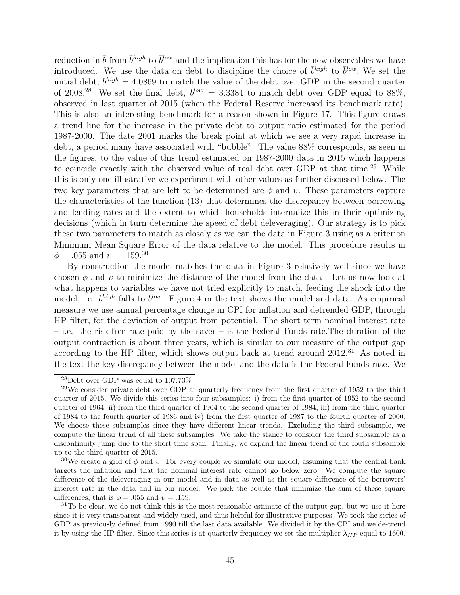reduction in  $\bar{b}$  from  $\bar{b}^{high}$  to  $\bar{b}^{low}$  and the implication this has for the new observables we have introduced. We use the data on debt to discipline the choice of  $\bar{b}^{high}$  to  $\bar{b}^{low}$ . We set the initial debt,  $\bar{b}^{high} = 4.0869$  to match the value of the debt over GDP in the second quarter of 2008.<sup>28</sup> We set the final debt,  $\bar{b}^{low} = 3.3384$  to match debt over GDP equal to 88%, observed in last quarter of 2015 (when the Federal Reserve increased its benchmark rate). This is also an interesting benchmark for a reason shown in Figure 17. This figure draws a trend line for the increase in the private debt to output ratio estimated for the period 1987-2000. The date 2001 marks the break point at which we see a very rapid increase in debt, a period many have associated with "bubble". The value 88% corresponds, as seen in the figures, to the value of this trend estimated on 1987-2000 data in 2015 which happens to coincide exactly with the observed value of real debt over GDP at that time.<sup>29</sup> While this is only one illustrative we experiment with other values as further discussed below. The two key parameters that are left to be determined are  $\phi$  and v. These parameters capture the characteristics of the function (13) that determines the discrepancy between borrowing and lending rates and the extent to which households internalize this in their optimizing decisions (which in turn determine the speed of debt deleveraging). Our strategy is to pick these two parameters to match as closely as we can the data in Figure 3 using as a criterion Minimum Mean Square Error of the data relative to the model. This procedure results in  $\phi = .055$  and  $v = .159.^{30}$ 

By construction the model matches the data in Figure 3 relatively well since we have chosen  $\phi$  and  $\upsilon$  to minimize the distance of the model from the data. Let us now look at what happens to variables we have not tried explicitly to match, feeding the shock into the model, i.e.  $b^{high}$  falls to  $b^{low}$ . Figure 4 in the text shows the model and data. As empirical measure we use annual percentage change in CPI for inflation and detrended GDP, through HP filter, for the deviation of output from potential. The short term nominal interest rate – i.e. the risk-free rate paid by the saver – is the Federal Funds rate.The duration of the output contraction is about three years, which is similar to our measure of the output gap according to the HP filter, which shows output back at trend around  $2012<sup>31</sup>$  As noted in the text the key discrepancy between the model and the data is the Federal Funds rate. We

 $^{28}$ Debt over GDP was equal to 107.73%

 $29$ We consider private debt over GDP at quarterly frequency from the first quarter of 1952 to the third quarter of 2015. We divide this series into four subsamples: i) from the first quarter of 1952 to the second quarter of 1964, ii) from the third quarter of 1964 to the second quarter of 1984, iii) from the third quarter of 1984 to the fourth quarter of 1986 and iv) from the first quarter of 1987 to the fourth quarter of 2000. We choose these subsamples since they have different linear trends. Excluding the third subsample, we compute the linear trend of all these subsamples. We take the stance to consider the third subsample as a discontinuity jump due to the short time span. Finally, we expand the linear trend of the fouth subsample up to the third quarter of 2015.

<sup>&</sup>lt;sup>30</sup>We create a grid of  $\phi$  and v. For every couple we simulate our model, assuming that the central bank targets the inflation and that the nominal interest rate cannot go below zero. We compute the square difference of the deleveraging in our model and in data as well as the square difference of the borrowers' interest rate in the data and in our model. We pick the couple that minimize the sum of these square differences, that is  $\phi = .055$  and  $v = .159$ .

 $31$ To be clear, we do not think this is the most reasonable estimate of the output gap, but we use it here since it is very transparent and widely used, and thus helpful for illustrative purposes. We took the series of GDP as previously defined from 1990 till the last data available. We divided it by the CPI and we de-trend it by using the HP filter. Since this series is at quarterly frequency we set the multiplier  $\lambda_{HP}$  equal to 1600.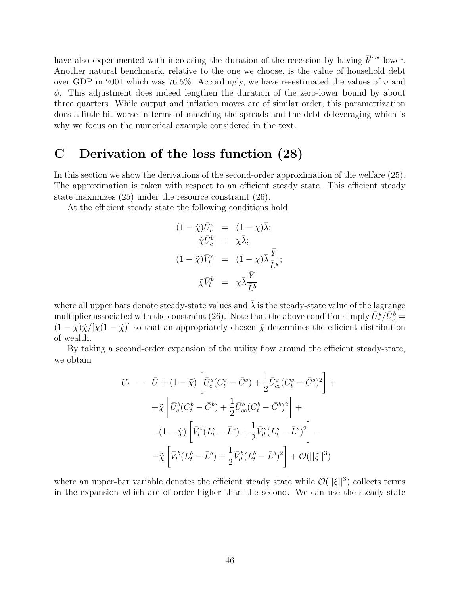have also experimented with increasing the duration of the recession by having  $\bar{b}^{low}$  lower. Another natural benchmark, relative to the one we choose, is the value of household debt over GDP in 2001 which was 76.5%. Accordingly, we have re-estimated the values of  $v$  and φ. This adjustment does indeed lengthen the duration of the zero-lower bound by about three quarters. While output and inflation moves are of similar order, this parametrization does a little bit worse in terms of matching the spreads and the debt deleveraging which is why we focus on the numerical example considered in the text.

### C Derivation of the loss function (28)

In this section we show the derivations of the second-order approximation of the welfare (25). The approximation is taken with respect to an efficient steady state. This efficient steady state maximizes (25) under the resource constraint (26).

At the efficient steady state the following conditions hold

$$
(1 - \tilde{\chi})\bar{U}_c^s = (1 - \chi)\bar{\lambda};
$$
  
\n
$$
\tilde{\chi}\bar{U}_c^b = \chi\bar{\lambda};
$$
  
\n
$$
(1 - \tilde{\chi})\bar{V}_l^s = (1 - \chi)\bar{\lambda}\frac{\bar{Y}}{\bar{L}^s};
$$
  
\n
$$
\tilde{\chi}\bar{V}_l^b = \chi\bar{\lambda}\frac{\bar{Y}}{\bar{L}^b}
$$

where all upper bars denote steady-state values and  $\bar{\lambda}$  is the steady-state value of the lagrange multiplier associated with the constraint (26). Note that the above conditions imply  $\bar{U}_c^s/\bar{U}_c^b$  =  $(1 - \chi)\tilde{\chi}/[\chi(1 - \tilde{\chi})]$  so that an appropriately chosen  $\tilde{\chi}$  determines the efficient distribution of wealth.

By taking a second-order expansion of the utility flow around the efficient steady-state, we obtain

$$
U_t = \bar{U} + (1 - \tilde{\chi}) \left[ \bar{U}_c^s (C_t^s - \bar{C}^s) + \frac{1}{2} \bar{U}_{cc}^s (C_t^s - \bar{C}^s)^2 \right] +
$$
  
+  $\tilde{\chi} \left[ \bar{U}_c^b (C_t^b - \bar{C}^b) + \frac{1}{2} \bar{U}_{cc}^b (C_t^b - \bar{C}^b)^2 \right] +$   
-  $(1 - \tilde{\chi}) \left[ \bar{V}_i^s (L_t^s - \bar{L}^s) + \frac{1}{2} \bar{V}_{ll}^s (L_t^s - \bar{L}^s)^2 \right] -$   
-  $\tilde{\chi} \left[ \bar{V}_l^b (L_t^b - \bar{L}^b) + \frac{1}{2} \bar{V}_{ll}^b (L_t^b - \bar{L}^b)^2 \right] + \mathcal{O}(||\xi||^3)$ 

where an upper-bar variable denotes the efficient steady state while  $\mathcal{O}(||\xi||^3)$  collects terms in the expansion which are of order higher than the second. We can use the steady-state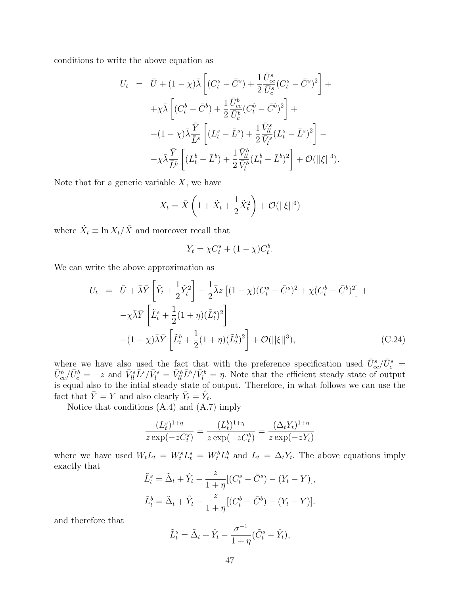conditions to write the above equation as

$$
U_t = \bar{U} + (1 - \chi)\bar{\lambda} \left[ (C_t^s - \bar{C}^s) + \frac{1}{2} \frac{\bar{U}_{cc}^s}{\bar{U}_c^s} (C_t^s - \bar{C}^s)^2 \right] +
$$
  
\n
$$
+ \chi \bar{\lambda} \left[ (C_t^b - \bar{C}^b) + \frac{1}{2} \frac{\bar{U}_{cc}^b}{\bar{U}_c^b} (C_t^b - \bar{C}^b)^2 \right] +
$$
  
\n
$$
- (1 - \chi)\bar{\lambda} \frac{\bar{Y}}{\bar{L}^s} \left[ (L_t^s - \bar{L}^s) + \frac{1}{2} \frac{\bar{V}_{ll}^s}{\bar{V}_l^s} (L_t^s - \bar{L}^s)^2 \right] -
$$
  
\n
$$
- \chi \bar{\lambda} \frac{\bar{Y}}{\bar{L}^b} \left[ (L_t^b - \bar{L}^b) + \frac{1}{2} \frac{\bar{V}_{ll}^b}{\bar{V}_l^b} (L_t^b - \bar{L}^b)^2 \right] + \mathcal{O}(||\xi||^3).
$$

Note that for a generic variable  $X$ , we have

$$
X_t = \bar{X}\left(1 + \tilde{X}_t + \frac{1}{2}\tilde{X}_t^2\right) + \mathcal{O}(||\xi||^3)
$$

where  $\tilde{X}_t \equiv \ln X_t / \bar{X}$  and moreover recall that

$$
Y_t = \chi C_t^s + (1 - \chi)C_t^b.
$$

We can write the above approximation as

$$
U_t = \bar{U} + \bar{\lambda}\bar{Y}\left[\tilde{Y}_t + \frac{1}{2}\tilde{Y}_t^2\right] - \frac{1}{2}\bar{\lambda}z\left[(1-\chi)(C_t^s - \bar{C}^s)^2 + \chi(C_t^b - \bar{C}^b)^2\right] +
$$
  

$$
-\chi\bar{\lambda}\bar{Y}\left[\tilde{L}_t^s + \frac{1}{2}(1+\eta)(\tilde{L}_t^s)^2\right]
$$
  

$$
-(1-\chi)\bar{\lambda}\bar{Y}\left[\tilde{L}_t^b + \frac{1}{2}(1+\eta)(\tilde{L}_t^b)^2\right] + \mathcal{O}(\|\xi\|^3),
$$
 (C.24)

where we have also used the fact that with the preference specification used  $\bar{U}_{cc}^s/\bar{U}_c^s$  =  $\bar{U}_{cc}^b/\bar{U}_c^b = -z$  and  $\bar{V}_{ll}^s \bar{L}^s/\bar{V}_l^s = \bar{V}_{ll}^b \bar{L}^b/\bar{V}_l^b = \eta$ . Note that the efficient steady state of output is equal also to the intial steady state of output. Therefore, in what follows we can use the fact that  $\overline{Y} = Y$  and also clearly  $\widetilde{Y}_t = \hat{Y}_t$ .

Notice that conditions (A.4) and (A.7) imply

$$
\frac{(L_t^s)^{1+\eta}}{z \exp(-zC_t^s)} = \frac{(L_t^b)^{1+\eta}}{z \exp(-zC_t^b)} = \frac{(\Delta_t Y_t)^{1+\eta}}{z \exp(-zY_t)}
$$

where we have used  $W_t L_t = W_t^s L_t^s = W_t^b L_t^b$  and  $L_t = \Delta_t Y_t$ . The above equations imply exactly that

$$
\tilde{L}_t^s = \tilde{\Delta}_t + \hat{Y}_t - \frac{z}{1+\eta} [(C_t^s - \bar{C}^s) - (Y_t - Y)],
$$
  

$$
\tilde{L}_t^b = \tilde{\Delta}_t + \hat{Y}_t - \frac{z}{1+\eta} [(C_t^b - \bar{C}^b) - (Y_t - Y)].
$$

and therefore that

$$
\tilde{L}_t^s = \tilde{\Delta}_t + \hat{Y}_t - \frac{\sigma^{-1}}{1 + \eta} (\tilde{C}_t^s - \hat{Y}_t),
$$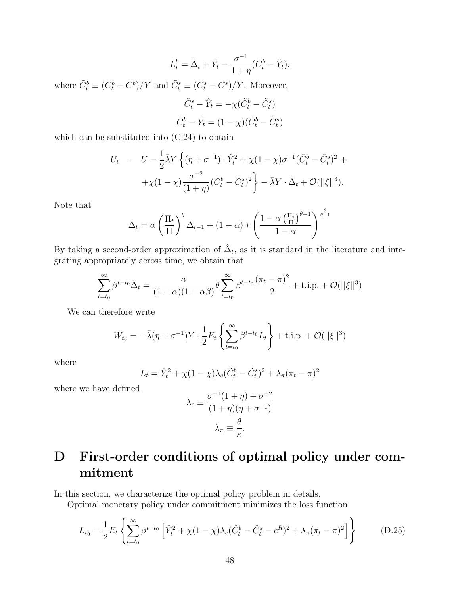$$
\tilde{L}_t^b = \tilde{\Delta}_t + \hat{Y}_t - \frac{\sigma^{-1}}{1 + \eta} (\tilde{C}_t^b - \hat{Y}_t).
$$

where  $\tilde{C}_t^b \equiv (C_t^b - \bar{C}^b)/Y$  and  $\tilde{C}_t^s \equiv (C_t^s - \bar{C}^s)/Y$ . Moreover,

$$
\tilde{C}_t^s - \hat{Y}_t = -\chi(\tilde{C}_t^b - \tilde{C}_t^s)
$$

$$
\tilde{C}_t^b - \hat{Y}_t = (1 - \chi)(\tilde{C}_t^b - \tilde{C}_t^s)
$$

which can be substituted into (C.24) to obtain

$$
U_t = \bar{U} - \frac{1}{2}\bar{\lambda}Y \left\{ (\eta + \sigma^{-1}) \cdot \hat{Y}_t^2 + \chi(1 - \chi)\sigma^{-1}(\tilde{C}_t^b - \tilde{C}_t^s)^2 + \\ + \chi(1 - \chi)\frac{\sigma^{-2}}{(1 + \eta)}(\tilde{C}_t^b - \tilde{C}_t^s)^2 \right\} - \bar{\lambda}Y \cdot \hat{\Delta}_t + \mathcal{O}(||\xi||^3).
$$

Note that

$$
\Delta_t = \alpha \left(\frac{\Pi_t}{\Pi}\right)^{\theta} \Delta_{t-1} + (1-\alpha) * \left(\frac{1-\alpha \left(\frac{\Pi_t}{\Pi}\right)^{\theta-1}}{1-\alpha}\right)^{\frac{\theta}{\theta-1}}
$$

By taking a second-order approximation of  $\hat{\Delta}_t$ , as it is standard in the literature and integrating appropriately across time, we obtain that

$$
\sum_{t=t_0}^{\infty} \beta^{t-t_0} \hat{\Delta}_t = \frac{\alpha}{(1-\alpha)(1-\alpha\beta)} \theta \sum_{t=t_0}^{\infty} \beta^{t-t_0} \frac{(\pi_t - \pi)^2}{2} + \text{t.i.p.} + \mathcal{O}(\|\xi\|^3)
$$

We can therefore write

$$
W_{t_0} = -\bar{\lambda}(\eta + \sigma^{-1})Y \cdot \frac{1}{2} E_t \left\{ \sum_{t=t_0}^{\infty} \beta^{t-t_0} L_t \right\} + \text{t.i.p.} + \mathcal{O}(||\xi||^3)
$$

where

$$
L_t = \hat{Y}_t^2 + \chi(1 - \chi)\lambda_c(\tilde{C}_t^b - \tilde{C}_t^s)^2 + \lambda_\pi(\pi_t - \pi)^2
$$

where we have defined

$$
\lambda_c \equiv \frac{\sigma^{-1}(1+\eta) + \sigma^{-2}}{(1+\eta)(\eta + \sigma^{-1})}
$$

$$
\lambda_{\pi} \equiv \frac{\theta}{\kappa}.
$$

## D First-order conditions of optimal policy under commitment

In this section, we characterize the optimal policy problem in details.

Optimal monetary policy under commitment minimizes the loss function

$$
L_{t_0} = \frac{1}{2} E_t \left\{ \sum_{t=t_0}^{\infty} \beta^{t-t_0} \left[ \hat{Y}_t^2 + \chi (1-\chi) \lambda_c (\hat{C}_t^b - \hat{C}_t^s - c^R)^2 + \lambda_\pi (\pi_t - \pi)^2 \right] \right\}
$$
(D.25)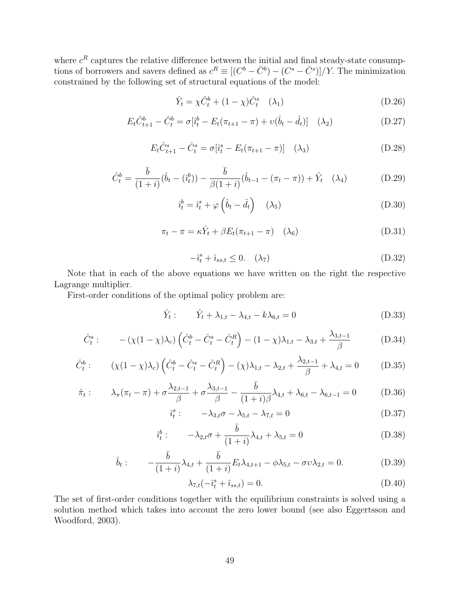where  $c^R$  captures the relative difference between the initial and final steady-state consumptions of borrowers and savers defined as  $c^R \equiv [(C^b - \bar{C}^b) - (C^s - \bar{C}^s)]/Y$ . The minimization constrained by the following set of structural equations of the model:

$$
\hat{Y}_t = \chi \hat{C}_t^b + (1 - \chi)\hat{C}_t^s \quad (\lambda_1)
$$
\n(D.26)

$$
E_t \hat{C}_{t+1}^b - \hat{C}_t^b = \sigma[\hat{i}_t^b - E_t(\pi_{t+1} - \pi) + \upsilon(\hat{b}_t - \hat{d}_t)] \quad (\lambda_2)
$$
 (D.27)

$$
E_t \hat{C}_{t+1}^s - \hat{C}_t^s = \sigma[\hat{i}_t^s - E_t(\pi_{t+1} - \pi)] \quad (\lambda_3)
$$
 (D.28)

$$
\hat{C}_t^b = \frac{\bar{b}}{(1+i)} (\hat{b}_t - (\hat{i}_t^b)) - \frac{\bar{b}}{\beta(1+i)} (\hat{b}_{t-1} - (\pi_t - \pi)) + \hat{Y}_t \quad (\lambda_4)
$$
(D.29)

$$
\hat{i}_t^b = \hat{i}_t^s + \varphi \left(\hat{b}_t - \hat{d}_t\right) \quad (\lambda_5)
$$
\n(D.30)

$$
\pi_t - \pi = \kappa \hat{Y}_t + \beta E_t (\pi_{t+1} - \pi) \quad (\lambda_6)
$$
 (D.31)

$$
-\hat{i}_t^s + \hat{i}_{ss,t} \le 0. \quad (\lambda_7)
$$
\n(D.32)

Note that in each of the above equations we have written on the right the respective Lagrange multiplier.

First-order conditions of the optimal policy problem are:

$$
\hat{Y}_t: \qquad \hat{Y}_t + \lambda_{1,t} - \lambda_{4,t} - k\lambda_{6,t} = 0 \tag{D.33}
$$

$$
\hat{C}_t^s: \qquad -(\chi(1-\chi)\lambda_c)\left(\hat{C}_t^b - \hat{C}_t^s - \hat{C}_t^R\right) - (1-\chi)\lambda_{1,t} - \lambda_{3,t} + \frac{\lambda_{3,t-1}}{\beta} \tag{D.34}
$$

$$
\hat{C}_t^b: \qquad (\chi(1-\chi)\lambda_c)\left(\hat{C}_t^b - \hat{C}_t^s - \hat{C}_t^R\right) - (\chi)\lambda_{1,t} - \lambda_{2,t} + \frac{\lambda_{2,t-1}}{\beta} + \lambda_{4,t} = 0 \qquad (D.35)
$$

$$
\hat{\pi}_t: \qquad \lambda_{\pi}(\pi_t - \pi) + \sigma \frac{\lambda_{2,t-1}}{\beta} + \sigma \frac{\lambda_{3,t-1}}{\beta} - \frac{\bar{b}}{(1+i)\beta} \lambda_{4,t} + \lambda_{6,t} - \lambda_{6,t-1} = 0 \tag{D.36}
$$

$$
\hat{i}_t^s: \qquad -\lambda_{3,t}\sigma - \lambda_{5,t} - \lambda_{7,t} = 0 \tag{D.37}
$$

$$
\hat{i}_t^b: \qquad -\lambda_{2,t}\sigma + \frac{\bar{b}}{(1+i)}\lambda_{4,t} + \lambda_{5,t} = 0 \tag{D.38}
$$

$$
\hat{b}_t: \qquad -\frac{\bar{b}}{(1+i)}\lambda_{4,t} + \frac{\bar{b}}{(1+i)}E_t\lambda_{4,t+1} - \phi\lambda_{5,t} - \sigma v\lambda_{2,t} = 0. \tag{D.39}
$$

$$
\lambda_{7,t}(-\hat{i}_t^s + \hat{i}_{ss,t}) = 0.
$$
 (D.40)

The set of first-order conditions together with the equilibrium constraints is solved using a solution method which takes into account the zero lower bound (see also Eggertsson and Woodford, 2003).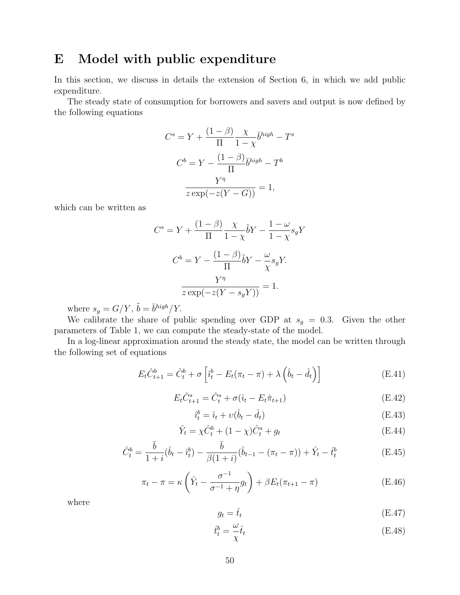### E Model with public expenditure

In this section, we discuss in details the extension of Section 6, in which we add public expenditure.

The steady state of consumption for borrowers and savers and output is now defined by the following equations

$$
C^{s} = Y + \frac{(1 - \beta)}{\Pi} \frac{\chi}{1 - \chi} \bar{b}^{high} - T^{s}
$$

$$
C^{b} = Y - \frac{(1 - \beta)}{\Pi} \bar{b}^{high} - T^{b}
$$

$$
\frac{Y^{\eta}}{z \exp(-z(Y - G))} = 1,
$$

which can be written as

$$
C^{s} = Y + \frac{(1 - \beta)}{\Pi} \frac{\chi}{1 - \chi} \tilde{b}Y - \frac{1 - \omega}{1 - \chi} s_{g}Y
$$

$$
C^{b} = Y - \frac{(1 - \beta)}{\Pi} \tilde{b}Y - \frac{\omega}{\chi} s_{g}Y.
$$

$$
\frac{Y^{\eta}}{z \exp(-z(Y - s_{g}Y))} = 1.
$$

where  $s_g = G/Y$ ,  $\tilde{b} = \bar{b}^{high}/Y$ .

We calibrate the share of public spending over GDP at  $s<sub>g</sub> = 0.3$ . Given the other parameters of Table 1, we can compute the steady-state of the model.

In a log-linear approximation around the steady state, the model can be written through the following set of equations

$$
E_t \hat{C}_{t+1}^b = \hat{C}_t^b + \sigma \left[ \hat{i}_t^b - E_t(\pi_t - \pi) + \lambda \left( \hat{b}_t - \hat{d}_t \right) \right]
$$
(E.41)

$$
E_t \hat{C}_{t+1}^s = \hat{C}_t^s + \sigma(\hat{\imath}_t - E_t \hat{\pi}_{t+1})
$$
\n(E.42)

$$
\hat{i}_t^b = \hat{i}_t + \upsilon(\hat{b}_t - \hat{d}_t) \tag{E.43}
$$

$$
\hat{Y}_t = \chi \hat{C}_t^b + (1 - \chi)\hat{C}_t^s + g_t
$$
\n(E.44)

$$
\hat{C}_t^b = \frac{\bar{b}}{1+i}(\hat{b}_t - \hat{i}_t^b) - \frac{\bar{b}}{\beta(1+i)}(\hat{b}_{t-1} - (\pi_t - \pi)) + \hat{Y}_t - \hat{t}_t^b
$$
(E.45)

$$
\pi_t - \pi = \kappa \left(\hat{Y}_t - \frac{\sigma^{-1}}{\sigma^{-1} + \eta} g_t\right) + \beta E_t (\pi_{t+1} - \pi) \tag{E.46}
$$

where

$$
g_t = \hat{t}_t \tag{E.47}
$$

$$
\hat{t}_t^b = \frac{\omega}{\chi}\hat{t}_t
$$
 (E.48)